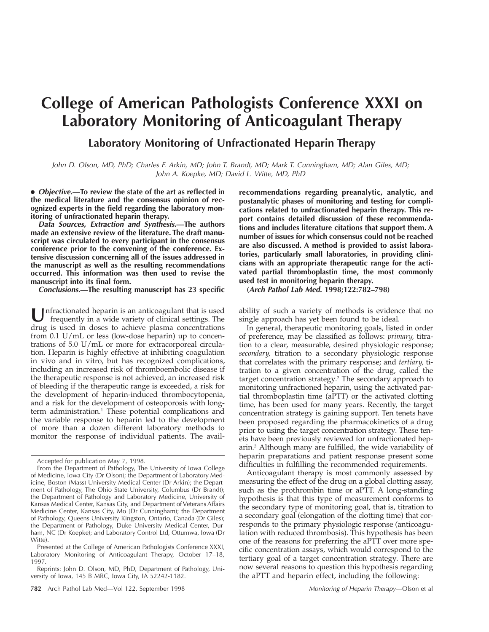# **College of American Pathologists Conference XXXI on Laboratory Monitoring of Anticoagulant Therapy**

# **Laboratory Monitoring of Unfractionated Heparin Therapy**

John D. Olson, MD, PhD; Charles F. Arkin, MD; John T. Brandt, MD; Mark T. Cunningham, MD; Alan Giles, MD; John A. Koepke, MD; David L. Witte, MD, PhD

● **Objective.—To review the state of the art as reflected in the medical literature and the consensus opinion of recognized experts in the field regarding the laboratory monitoring of unfractionated heparin therapy.**

**Data Sources, Extraction and Synthesis.—The authors made an extensive review of the literature. The draft manuscript was circulated to every participant in the consensus conference prior to the convening of the conference. Extensive discussion concerning all of the issues addressed in the manuscript as well as the resulting recommendations occurred. This information was then used to revise the manuscript into its final form.**

**Conclusions.—The resulting manuscript has 23 specific**

**U**nfractionated heparin is an anticoagulant that is used frequently in a wide variety of clinical settings. The drug is used in doses to achieve plasma concentrations from 0.1 U/mL or less (low-dose heparin) up to concentrations of 5.0 U/mL or more for extracorporeal circulation. Heparin is highly effective at inhibiting coagulation in vivo and in vitro, but has recognized complications, including an increased risk of thromboembolic disease if the therapeutic response is not achieved, an increased risk of bleeding if the therapeutic range is exceeded, a risk for the development of heparin-induced thrombocytopenia, and a risk for the development of osteoporosis with longterm administration.<sup>1</sup> These potential complications and the variable response to heparin led to the development of more than a dozen different laboratory methods to monitor the response of individual patients. The avail-

Presented at the College of American Pathologists Conference XXXI, Laboratory Monitoring of Anticoagulant Therapy, October 17–18, 1997.

Reprints: John D. Olson, MD, PhD, Department of Pathology, University of Iowa, 145 B MRC, Iowa City, IA 52242-1182.

**782** Arch Pathol Lab Med—Vol 122, September 1998 Monitoring of Heparin Therapy—Olson et al

**recommendations regarding preanalytic, analytic, and postanalytic phases of monitoring and testing for complications related to unfractionated heparin therapy. This report contains detailed discussion of these recommendations and includes literature citations that support them. A number of issues for which consensus could not be reached are also discussed. A method is provided to assist laboratories, particularly small laboratories, in providing clinicians with an appropriate therapeutic range for the activated partial thromboplastin time, the most commonly used test in monitoring heparin therapy.**

**(Arch Pathol Lab Med. 1998;122:782–798)**

ability of such a variety of methods is evidence that no single approach has yet been found to be ideal.

In general, therapeutic monitoring goals, listed in order of preference, may be classified as follows: *primary,* titration to a clear, measurable, desired physiologic response; *secondary,* titration to a secondary physiologic response that correlates with the primary response; and *tertiary,* titration to a given concentration of the drug, called the target concentration strategy.<sup>2</sup> The secondary approach to monitoring unfractioned heparin, using the activated partial thromboplastin time (aPTT) or the activated clotting time, has been used for many years. Recently, the target concentration strategy is gaining support. Ten tenets have been proposed regarding the pharmacokinetics of a drug prior to using the target concentration strategy. These tenets have been previously reviewed for unfractionated heparin.3 Although many are fulfilled, the wide variability of heparin preparations and patient response present some difficulties in fulfilling the recommended requirements.

Anticoagulant therapy is most commonly assessed by measuring the effect of the drug on a global clotting assay, such as the prothrombin time or aPTT. A long-standing hypothesis is that this type of measurement conforms to the secondary type of monitoring goal, that is, titration to a secondary goal (elongation of the clotting time) that corresponds to the primary physiologic response (anticoagulation with reduced thrombosis). This hypothesis has been one of the reasons for preferring the aPTT over more specific concentration assays, which would correspond to the tertiary goal of a target concentration strategy. There are now several reasons to question this hypothesis regarding the aPTT and heparin effect, including the following:

Accepted for publication May 7, 1998.

From the Department of Pathology, The University of Iowa College of Medicine, Iowa City (Dr Olson); the Department of Laboratory Medicine, Boston (Mass) University Medical Center (Dr Arkin); the Department of Pathology, The Ohio State University, Columbus (Dr Brandt); the Department of Pathology and Laboratory Medicine, University of Kansas Medical Center, Kansas City, and Department of Veterans Affairs Medicine Center, Kansas City, Mo (Dr Cunningham); the Department of Pathology, Queens University Kingston, Ontario, Canada (Dr Giles); the Department of Pathology, Duke University Medical Center, Durham, NC (Dr Koepke); and Laboratory Control Ltd, Ottumwa, Iowa (Dr Witte).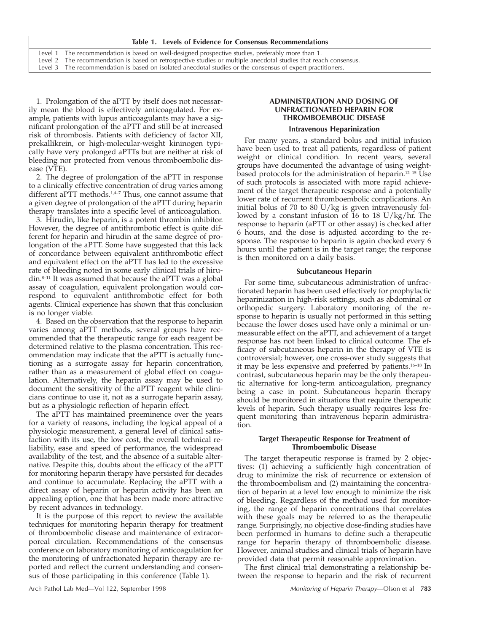|  |  |  |  | Table 1. Levels of Evidence for Consensus Recommendations |  |
|--|--|--|--|-----------------------------------------------------------|--|
|  |  |  |  |                                                           |  |

Level 1 The recommendation is based on well-designed prospective studies, preferably more than 1. Level 2 The recommendation is based on retrospective studies or multiple anecdotal studies that reach consensus.

Level 3 The recommendation is based on isolated anecdotal studies or the consensus of expert practitioners.

1. Prolongation of the aPTT by itself does not necessarily mean the blood is effectively anticoagulated. For example, patients with lupus anticoagulants may have a significant prolongation of the aPTT and still be at increased risk of thrombosis. Patients with deficiency of factor XII, prekallikrein, or high-molecular-weight kininogen typically have very prolonged aPTTs but are neither at risk of bleeding nor protected from venous thromboembolic disease (VTE).

2. The degree of prolongation of the aPTT in response to a clinically effective concentration of drug varies among different aPTT methods.<sup>1,4-7</sup> Thus, one cannot assume that a given degree of prolongation of the aPTT during heparin therapy translates into a specific level of anticoagulation.

3. Hirudin, like heparin, is a potent thrombin inhibitor. However, the degree of antithrombotic effect is quite different for heparin and hirudin at the same degree of prolongation of the aPTT. Some have suggested that this lack of concordance between equivalent antithrombotic effect and equivalent effect on the aPTT has led to the excessive rate of bleeding noted in some early clinical trials of hirudin.8–11 It was assumed that because the aPTT was a global assay of coagulation, equivalent prolongation would correspond to equivalent antithrombotic effect for both agents. Clinical experience has shown that this conclusion is no longer viable.

4. Based on the observation that the response to heparin varies among aPTT methods, several groups have recommended that the therapeutic range for each reagent be determined relative to the plasma concentration. This recommendation may indicate that the aPTT is actually functioning as a surrogate assay for heparin concentration, rather than as a measurement of global effect on coagulation. Alternatively, the heparin assay may be used to document the sensitivity of the aPTT reagent while clinicians continue to use it, not as a surrogate heparin assay, but as a physiologic reflection of heparin effect.

The aPTT has maintained preeminence over the years for a variety of reasons, including the logical appeal of a physiologic measurement, a general level of clinical satisfaction with its use, the low cost, the overall technical reliability, ease and speed of performance, the widespread availability of the test, and the absence of a suitable alternative. Despite this, doubts about the efficacy of the aPTT for monitoring heparin therapy have persisted for decades and continue to accumulate. Replacing the aPTT with a direct assay of heparin or heparin activity has been an appealing option, one that has been made more attractive by recent advances in technology.

It is the purpose of this report to review the available techniques for monitoring heparin therapy for treatment of thromboembolic disease and maintenance of extracorporeal circulation. Recommendations of the consensus conference on laboratory monitoring of anticoagulation for the monitoring of unfractionated heparin therapy are reported and reflect the current understanding and consensus of those participating in this conference (Table 1).

#### **Intravenous Heparinization**

For many years, a standard bolus and initial infusion have been used to treat all patients, regardless of patient weight or clinical condition. In recent years, several groups have documented the advantage of using weightbased protocols for the administration of heparin.12–15 Use of such protocols is associated with more rapid achievement of the target therapeutic response and a potentially lower rate of recurrent thromboembolic complications. An initial bolus of 70 to 80 U/kg is given intravenously followed by a constant infusion of 16 to 18 U/kg/hr. The response to heparin (aPTT or other assay) is checked after 6 hours, and the dose is adjusted according to the response. The response to heparin is again checked every 6 hours until the patient is in the target range; the response is then monitored on a daily basis.

#### **Subcutaneous Heparin**

For some time, subcutaneous administration of unfractionated heparin has been used effectively for prophylactic heparinization in high-risk settings, such as abdominal or orthopedic surgery. Laboratory monitoring of the response to heparin is usually not performed in this setting because the lower doses used have only a minimal or unmeasurable effect on the aPTT, and achievement of a target response has not been linked to clinical outcome. The efficacy of subcutaneous heparin in the therapy of VTE is controversial; however, one cross-over study suggests that it may be less expensive and preferred by patients.16–18 In contrast, subcutaneous heparin may be the only therapeutic alternative for long-term anticoagulation, pregnancy being a case in point. Subcutaneous heparin therapy should be monitored in situations that require therapeutic levels of heparin. Such therapy usually requires less frequent monitoring than intravenous heparin administration.

### **Target Therapeutic Response for Treatment of Thromboembolic Disease**

The target therapeutic response is framed by 2 objectives: (1) achieving a sufficiently high concentration of drug to minimize the risk of recurrence or extension of the thromboembolism and (2) maintaining the concentration of heparin at a level low enough to minimize the risk of bleeding. Regardless of the method used for monitoring, the range of heparin concentrations that correlates with these goals may be referred to as the therapeutic range. Surprisingly, no objective dose-finding studies have been performed in humans to define such a therapeutic range for heparin therapy of thromboembolic disease. However, animal studies and clinical trials of heparin have provided data that permit reasonable approximation.

The first clinical trial demonstrating a relationship between the response to heparin and the risk of recurrent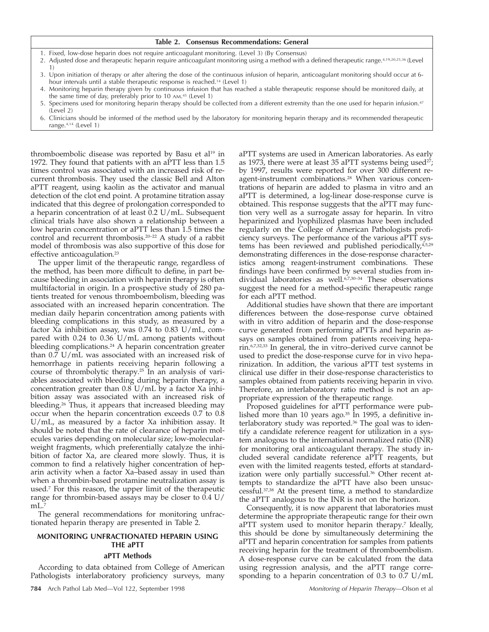| Table 2. Consensus Recommendations: General |  |  |  |  |
|---------------------------------------------|--|--|--|--|
|---------------------------------------------|--|--|--|--|

- 1. Fixed, low-dose heparin does not require anticoagulant monitoring. (Level 3) (By Consensus)
- 2. Adjusted dose and therapeutic heparin require anticoagulant monitoring using a method with a defined therapeutic range.4,19,20,25,36 (Level 1)
- 3. Upon initiation of therapy or after altering the dose of the continuous infusion of heparin, anticoagulant monitoring should occur at 6 hour intervals until a stable therapeutic response is reached.<sup>14</sup> (Level 1)
- 4. Monitoring heparin therapy given by continuous infusion that has reached a stable therapeutic response should be monitored daily, at the same time of day, preferably prior to 10 AM. <sup>45</sup> (Level 1)
- 5. Specimens used for monitoring heparin therapy should be collected from a different extremity than the one used for heparin infusion.<sup>47</sup> (Level 2)
- 6. Clinicians should be informed of the method used by the laboratory for monitoring heparin therapy and its recommended therapeutic range.4,14 (Level 1)

thromboembolic disease was reported by Basu et al<sup>19</sup> in 1972. They found that patients with an aPTT less than 1.5 times control was associated with an increased risk of recurrent thrombosis. They used the classic Bell and Alton aPTT reagent, using kaolin as the activator and manual detection of the clot end point. A protamine titration assay indicated that this degree of prolongation corresponded to a heparin concentration of at least 0.2 U/mL. Subsequent clinical trials have also shown a relationship between a low heparin concentration or aPTT less than 1.5 times the control and recurrent thrombosis.20–22 A study of a rabbit model of thrombosis was also supportive of this dose for effective anticoagulation.<sup>23</sup>

The upper limit of the therapeutic range, regardless of the method, has been more difficult to define, in part because bleeding in association with heparin therapy is often multifactorial in origin. In a prospective study of 280 patients treated for venous thromboembolism, bleeding was associated with an increased heparin concentration. The median daily heparin concentration among patients with bleeding complications in this study, as measured by a factor Xa inhibition assay, was 0.74 to 0.83 U/mL, compared with 0.24 to 0.36 U/mL among patients without bleeding complications.<sup>24</sup> A heparin concentration greater than 0.7 U/mL was associated with an increased risk of hemorrhage in patients receiving heparin following a course of thrombolytic therapy.25 In an analysis of variables associated with bleeding during heparin therapy, a concentration greater than 0.8 U/mL by a factor Xa inhibition assay was associated with an increased risk of bleeding.26 Thus, it appears that increased bleeding may occur when the heparin concentration exceeds 0.7 to 0.8 U/mL, as measured by a factor Xa inhibition assay. It should be noted that the rate of clearance of heparin molecules varies depending on molecular size; low-molecularweight fragments, which preferentially catalyze the inhibition of factor Xa, are cleared more slowly. Thus, it is common to find a relatively higher concentration of heparin activity when a factor Xa–based assay in used than when a thrombin-based protamine neutralization assay is used.7 For this reason, the upper limit of the therapeutic range for thrombin-based assays may be closer to 0.4 U/  $mL$ .<sup>7</sup>

The general recommendations for monitoring unfractionated heparin therapy are presented in Table 2.

# **MONITORING UNFRACTIONATED HEPARIN USING THE aPTT**

#### **aPTT Methods**

According to data obtained from College of American Pathologists interlaboratory proficiency surveys, many

**784** Arch Pathol Lab Med—Vol 122, September 1998 Monitoring of Heparin Therapy—Olson et al

aPTT systems are used in American laboratories. As early as 1973, there were at least 35 aPTT systems being used<sup>27</sup>; by 1997, results were reported for over 300 different reagent-instrument combinations.28 When various concentrations of heparin are added to plasma in vitro and an aPTT is determined, a log-linear dose-response curve is obtained. This response suggests that the aPTT may function very well as a surrogate assay for heparin. In vitro heparinized and lyophilized plasmas have been included regularly on the College of American Pathologists proficiency surveys. The performance of the various aPTT systems has been reviewed and published periodically, $4,5,29$ demonstrating differences in the dose-response characteristics among reagent-instrument combinations. These findings have been confirmed by several studies from individual laboratories as well.<sup>6,7,30-34</sup> These observations suggest the need for a method-specific therapeutic range for each aPTT method.

Additional studies have shown that there are important differences between the dose-response curve obtained with in vitro addition of heparin and the dose-response curve generated from performing aPTTs and heparin assays on samples obtained from patients receiving heparin.6,7,32,33 In general, the in vitro–derived curve cannot be used to predict the dose-response curve for in vivo heparinization. In addition, the various aPTT test systems in clinical use differ in their dose-response characteristics to samples obtained from patients receiving heparin in vivo. Therefore, an interlaboratory ratio method is not an appropriate expression of the therapeutic range.

Proposed guidelines for aPTT performance were published more than 10 years ago. $35$  In 1995, a definitive interlaboratory study was reported.<sup>36</sup> The goal was to identify a candidate reference reagent for utilization in a system analogous to the international normalized ratio (INR) for monitoring oral anticoagulant therapy. The study included several candidate reference aPTT reagents, but even with the limited reagents tested, efforts at standardization were only partially successful.<sup>36</sup> Other recent attempts to standardize the aPTT have also been unsuccessful.37,38 At the present time, a method to standardize the aPTT analogous to the INR is not on the horizon.

Consequently, it is now apparent that laboratories must determine the appropriate therapeutic range for their own aPTT system used to monitor heparin therapy.<sup>7</sup> Ideally, this should be done by simultaneously determining the aPTT and heparin concentration for samples from patients receiving heparin for the treatment of thromboembolism. A dose-response curve can be calculated from the data using regression analysis, and the aPTT range corresponding to a heparin concentration of 0.3 to 0.7 U/mL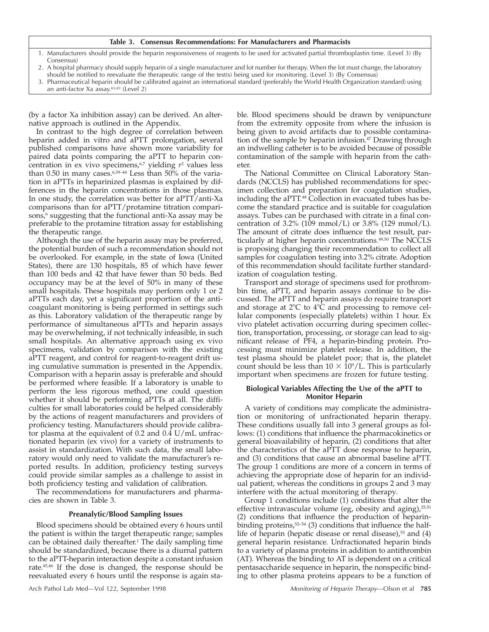#### **Table 3. Consensus Recommendations: For Manufacturers and Pharmacists**

- 1. Manufacturers should provide the heparin responsiveness of reagents to be used for activated partial thromboplastin time. (Level 3) (By Consensus)
- 2. A hospital pharmacy should supply heparin of a single manufacturer and lot number for therapy. When the lot must change, the laboratory should be notified to reevaluate the therapeutic range of the test(s) being used for monitoring. (Level 3) (By Consensus)

3. Pharmaceutical heparin should be calibrated against an international standard (preferably the World Health Organization standard) using

an anti-factor Xa assay.83,85 (Level 2)

(by a factor Xa inhibition assay) can be derived. An alternative approach is outlined in the Appendix.

In contrast to the high degree of correlation between heparin added in vitro and aPTT prolongation, several published comparisons have shown more variability for paired data points comparing the aPTT to heparin concentration in ex vivo specimens,<sup>6,7</sup> yielding  $r^2$  values less than  $0.50$  in many cases.<sup>6,39-44</sup> Less than  $50\%$  of the variation in aPTTs in heparinized plasmas is explained by differences in the heparin concentrations in those plasmas. In one study, the correlation was better for aPTT/anti-Xa comparisons than for aPTT/protamine titration comparisons,<sup>6</sup> suggesting that the functional anti-Xa assay may be preferable to the protamine titration assay for establishing the therapeutic range.

Although the use of the heparin assay may be preferred, the potential burden of such a recommendation should not be overlooked. For example, in the state of Iowa (United States), there are 130 hospitals, 85 of which have fewer than 100 beds and 42 that have fewer than 50 beds. Bed occupancy may be at the level of 50% in many of these small hospitals. These hospitals may perform only 1 or 2 aPTTs each day, yet a significant proportion of the anticoagulant monitoring is being performed in settings such as this. Laboratory validation of the therapeutic range by performance of simultaneous aPTTs and heparin assays may be overwhelming, if not technically infeasible, in such small hospitals. An alternative approach using ex vivo specimens, validation by comparison with the existing aPTT reagent, and control for reagent-to-reagent drift using cumulative summation is presented in the Appendix. Comparison with a heparin assay is preferable and should be performed where feasible. If a laboratory is unable to perform the less rigorous method, one could question whether it should be performing aPTTs at all. The difficulties for small laboratories could be helped considerably by the actions of reagent manufacturers and providers of proficiency testing. Manufacturers should provide calibrator plasma at the equivalent of 0.2 and 0.4 U/mL unfractionated heparin (ex vivo) for a variety of instruments to assist in standardization. With such data, the small laboratory would only need to validate the manufacturer's reported results. In addition, proficiency testing surveys could provide similar samples as a challenge to assist in both proficiency testing and validation of calibration.

The recommendations for manufacturers and pharmacies are shown in Table 3.

#### **Preanalytic/Blood Sampling Issues**

Blood specimens should be obtained every 6 hours until the patient is within the target therapeutic range; samples can be obtained daily thereafter.<sup>1</sup> The daily sampling time should be standardized, because there is a diurnal pattern to the aPTT-heparin interaction despite a constant infusion rate.45,46 If the dose is changed, the response should be reevaluated every 6 hours until the response is again sta-

ble. Blood specimens should be drawn by venipuncture from the extremity opposite from where the infusion is being given to avoid artifacts due to possible contamination of the sample by heparin infusion.47 Drawing through an indwelling catheter is to be avoided because of possible contamination of the sample with heparin from the catheter.

The National Committee on Clinical Laboratory Standards (NCCLS) has published recommendations for specimen collection and preparation for coagulation studies, including the aPTT.48 Collection in evacuated tubes has become the standard practice and is suitable for coagulation assays. Tubes can be purchased with citrate in a final concentration of 3.2% (109 mmol/L) or 3.8% (129 mmol/L). The amount of citrate does influence the test result, particularly at higher heparin concentrations.<sup>49,50</sup> The NCCLS is proposing changing their recommendation to collect all samples for coagulation testing into 3.2% citrate. Adoption of this recommendation should facilitate further standardization of coagulation testing.

Transport and storage of specimens used for prothrombin time, aPTT, and heparin assays continue to be discussed. The aPTT and heparin assays do require transport and storage at  $2^{\circ}C$  to  $4^{\circ}\overline{C}$  and processing to remove cellular components (especially platelets) within 1 hour. Ex vivo platelet activation occurring during specimen collection, transportation, processing, or storage can lead to significant release of PF4, a heparin-binding protein. Processing must minimize platelet release. In addition, the test plasma should be platelet poor; that is, the platelet count should be less than  $10 \times 10^9$ /L. This is particularly important when specimens are frozen for future testing.

### **Biological Variables Affecting the Use of the aPTT to Monitor Heparin**

A variety of conditions may complicate the administration or monitoring of unfractionated heparin therapy. These conditions usually fall into 3 general groups as follows: (1) conditions that influence the pharmacokinetics or general bioavailability of heparin, (2) conditions that alter the characteristics of the aPTT dose response to heparin, and (3) conditions that cause an abnormal baseline aPTT. The group 1 conditions are more of a concern in terms of achieving the appropriate dose of heparin for an individual patient, whereas the conditions in groups 2 and 3 may interfere with the actual monitoring of therapy.

Group 1 conditions include (1) conditions that alter the effective intravascular volume (eg, obesity and aging),<sup>25,51</sup> (2) conditions that influence the production of heparinbinding proteins,<sup>52-54</sup> (3) conditions that influence the halflife of heparin (hepatic disease or renal disease), $55$  and (4) general heparin resistance. Unfractionated heparin binds to a variety of plasma proteins in addition to antithrombin (AT). Whereas the binding to AT is dependent on a critical pentasaccharide sequence in heparin, the nonspecific binding to other plasma proteins appears to be a function of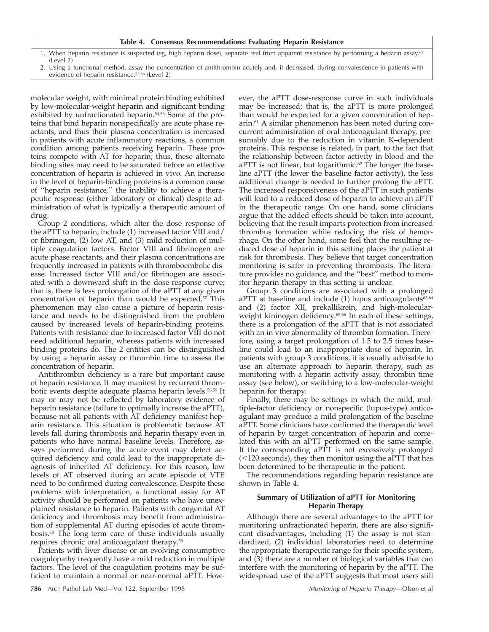#### **Table 4. Consensus Recommendations: Evaluating Heparin Resistance**

- 1. When heparin resistance is suspected (eg, high heparin dose), separate real from apparent resistance by performing a heparin assay.<sup>67</sup> (Level 2)
- 2. Using a functional method, assay the concentration of antithrombin acutely and, if decreased, during convalescence in patients with evidence of heparin resistance.<sup>57,88</sup> (Level 2)

molecular weight, with minimal protein binding exhibited by low-molecular-weight heparin and significant binding exhibited by unfractionated heparin.<sup>54,56</sup> Some of the proteins that bind heparin nonspecifically are acute phase reactants, and thus their plasma concentration is increased in patients with acute inflammatory reactions, a common condition among patients receiving heparin. These proteins compete with AT for heparin; thus, these alternate binding sites may need to be saturated before an effective concentration of heparin is achieved in vivo. An increase in the level of heparin-binding proteins is a common cause of ''heparin resistance,'' the inability to achieve a therapeutic response (either laboratory or clinical) despite administration of what is typically a therapeutic amount of drug.

Group 2 conditions, which alter the dose response of the aPTT to heparin, include (1) increased factor VIII and/ or fibrinogen, (2) low AT, and (3) mild reduction of multiple coagulation factors. Factor VIII and fibrinogen are acute phase reactants, and their plasma concentrations are frequently increased in patients with thromboembolic disease. Increased factor VIII and/or fibrinogen are associated with a downward shift in the dose-response curve; that is, there is less prolongation of the aPTT at any given concentration of heparin than would be expected.<sup>57</sup> This phenomenon may also cause a picture of heparin resistance and needs to be distinguished from the problem caused by increased levels of heparin-binding proteins. Patients with resistance due to increased factor VIII do not need additional heparin, whereas patients with increased binding proteins do. The 2 entities can be distinguished by using a heparin assay or thrombin time to assess the concentration of heparin.

Antithrombin deficiency is a rare but important cause of heparin resistance. It may manifest by recurrent thrombotic events despite adequate plasma heparin levels.58,59 It may or may not be reflected by laboratory evidence of heparin resistance (failure to optimally increase the aPTT), because not all patients with AT deficiency manifest heparin resistance. This situation is problematic because AT levels fall during thrombosis and heparin therapy even in patients who have normal baseline levels. Therefore, assays performed during the acute event may detect acquired deficiency and could lead to the inappropriate diagnosis of inherited AT deficiency. For this reason, low levels of AT observed during an acute episode of VTE need to be confirmed during convalescence. Despite these problems with interpretation, a functional assay for AT activity should be performed on patients who have unexplained resistance to heparin. Patients with congenital AT deficiency and thrombosis may benefit from administration of supplemental AT during episodes of acute thrombosis.60 The long-term care of these individuals usually requires chronic oral anticoagulant therapy.59

Patients with liver disease or an evolving consumptive coagulopathy frequently have a mild reduction in multiple factors. The level of the coagulation proteins may be sufficient to maintain a normal or near-normal aPTT. How-

**786** Arch Pathol Lab Med—Vol 122, September 1998 Monitoring of Heparin Therapy—Olson et al

ever, the aPTT dose-response curve in such individuals may be increased; that is, the aPTT is more prolonged than would be expected for a given concentration of heparin.61 A similar phenomenon has been noted during concurrent administration of oral anticoagulant therapy, presumably due to the reduction in vitamin K–dependent proteins. This response is related, in part, to the fact that the relationship between factor activity in blood and the aPTT is not linear, but logarithmic.<sup>62</sup> The longer the baseline aPTT (the lower the baseline factor activity), the less additional change is needed to further prolong the aPTT. The increased responsiveness of the aPTT in such patients will lead to a reduced dose of heparin to achieve an aPTT in the therapeutic range. On one hand, some clinicians argue that the added effects should be taken into account, believing that the result imparts protection from increased thrombus formation while reducing the risk of hemorrhage. On the other hand, some feel that the resulting reduced dose of heparin in this setting places the patient at risk for thrombosis. They believe that target concentration monitoring is safer in preventing thrombosis. The literature provides no guidance, and the ''best'' method to monitor heparin therapy in this setting is unclear.

Group 3 conditions are associated with a prolonged aPTT at baseline and include (1) lupus anticoagulants<sup>63,64</sup> and (2) factor XII, prekallikrein, and high-molecularweight kininogen deficiency.<sup>65,66</sup> In each of these settings, there is a prolongation of the aPTT that is not associated with an in vivo abnormality of thrombin formation. Therefore, using a target prolongation of 1.5 to 2.5 times baseline could lead to an inappropriate dose of heparin. In patients with group 3 conditions, it is usually advisable to use an alternate approach to heparin therapy, such as monitoring with a heparin activity assay, thrombin time assay (see below), or switching to a low-molecular-weight heparin for therapy.

Finally, there may be settings in which the mild, multiple-factor deficiency or nonspecific (lupus-type) anticoagulant may produce a mild prolongation of the baseline aPTT. Some clinicians have confirmed the therapeutic level of heparin by target concentration of heparin and correlated this with an aPTT performed on the same sample. If the corresponding aPTT is not excessively prolonged  $(<$ 120 seconds), they then monitor using the aPTT that has been determined to be therapeutic in the patient.

The recommendations regarding heparin resistance are shown in Table 4.

# **Summary of Utilization of aPTT for Monitoring Heparin Therapy**

Although there are several advantages to the aPTT for monitoring unfractionated heparin, there are also significant disadvantages, including (1) the assay is not standardized, (2) individual laboratories need to determine the appropriate therapeutic range for their specific system, and (3) there are a number of biological variables that can interfere with the monitoring of heparin by the aPTT. The widespread use of the aPTT suggests that most users still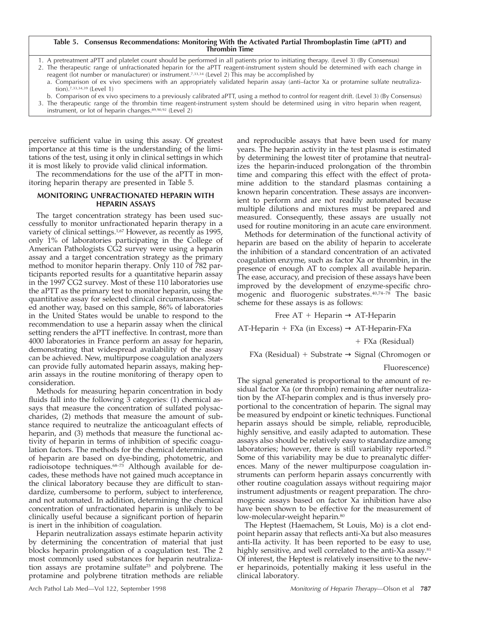#### **Table 5. Consensus Recommendations: Monitoring With the Activated Partial Thromboplastin Time (aPTT) and Thrombin Time**

- 1. A pretreatment aPTT and platelet count should be performed in all patients prior to initiating therapy. (Level 3) (By Consensus)
- 2. The therapeutic range of unfractionated heparin for the aPTT reagent-instrument system should be determined with each change in reagent (lot number or manufacturer) or instrument.7,33,34 (Level 2) This may be accomplished by
	- a. Comparison of ex vivo specimens with an appropriately validated heparin assay (anti–factor Xa or protamine sulfate neutralization).7,33,34,39 (Level 1)
	- b. Comparison of ex vivo specimens to a previously calibrated aPTT, using a method to control for reagent drift. (Level 3) (By Consensus)
- 3. The therapeutic range of the thrombin time reagent-instrument system should be determined using in vitro heparin when reagent, instrument, or lot of heparin changes.89,90,92 (Level 2)

perceive sufficient value in using this assay. Of greatest importance at this time is the understanding of the limitations of the test, using it only in clinical settings in which it is most likely to provide valid clinical information.

The recommendations for the use of the aPTT in monitoring heparin therapy are presented in Table 5.

#### **MONITORING UNFRACTIONATED HEPARIN WITH HEPARIN ASSAYS**

The target concentration strategy has been used successfully to monitor unfractionated heparin therapy in a variety of clinical settings.<sup>1,67</sup> However, as recently as 1995, only 1% of laboratories participating in the College of American Pathologists CG2 survey were using a heparin assay and a target concentration strategy as the primary method to monitor heparin therapy. Only 110 of 782 participants reported results for a quantitative heparin assay in the 1997 CG2 survey. Most of these 110 laboratories use the aPTT as the primary test to monitor heparin, using the quantitative assay for selected clinical circumstances. Stated another way, based on this sample, 86% of laboratories in the United States would be unable to respond to the recommendation to use a heparin assay when the clinical setting renders the aPTT ineffective. In contrast, more than 4000 laboratories in France perform an assay for heparin, demonstrating that widespread availability of the assay can be achieved. New, multipurpose coagulation analyzers can provide fully automated heparin assays, making heparin assays in the routine monitoring of therapy open to consideration.

Methods for measuring heparin concentration in body fluids fall into the following 3 categories: (1) chemical assays that measure the concentration of sulfated polysaccharides, (2) methods that measure the amount of substance required to neutralize the anticoagulant effects of heparin, and (3) methods that measure the functional activity of heparin in terms of inhibition of specific coagulation factors. The methods for the chemical determination of heparin are based on dye-binding, photometric, and radioisotope techniques.68–73 Although available for decades, these methods have not gained much acceptance in the clinical laboratory because they are difficult to standardize, cumbersome to perform, subject to interference, and not automated. In addition, determining the chemical concentration of unfractionated heparin is unlikely to be clinically useful because a significant portion of heparin is inert in the inhibition of coagulation.

Heparin neutralization assays estimate heparin activity by determining the concentration of material that just blocks heparin prolongation of a coagulation test. The 2 most commonly used substances for heparin neutralization assays are protamine sulfate<sup>23</sup> and polybrene. The protamine and polybrene titration methods are reliable

and reproducible assays that have been used for many years. The heparin activity in the test plasma is estimated by determining the lowest titer of protamine that neutralizes the heparin-induced prolongation of the thrombin time and comparing this effect with the effect of protamine addition to the standard plasmas containing a known heparin concentration. These assays are inconvenient to perform and are not readily automated because multiple dilutions and mixtures must be prepared and measured. Consequently, these assays are usually not used for routine monitoring in an acute care environment.

Methods for determination of the functional activity of heparin are based on the ability of heparin to accelerate the inhibition of a standard concentration of an activated coagulation enzyme, such as factor Xa or thrombin, in the presence of enough AT to complex all available heparin. The ease, accuracy, and precision of these assays have been improved by the development of enzyme-specific chromogenic and fluorogenic substrates.40,74–78 The basic scheme for these assays is as follows:

Free  $AT + Heparin \rightarrow AT-Heparin$ 

AT-Heparin + FXa (in Excess)  $\rightarrow$  AT-Heparin-FXa

+ FXa (Residual)

FXa (Residual) + Substrate  $\rightarrow$  Signal (Chromogen or

Fluorescence)

The signal generated is proportional to the amount of residual factor Xa (or thrombin) remaining after neutralization by the AT-heparin complex and is thus inversely proportional to the concentration of heparin. The signal may be measured by endpoint or kinetic techniques. Functional heparin assays should be simple, reliable, reproducible, highly sensitive, and easily adapted to automation. These assays also should be relatively easy to standardize among laboratories; however, there is still variability reported.<sup>79</sup> Some of this variability may be due to preanalytic differences. Many of the newer multipurpose coagulation instruments can perform heparin assays concurrently with other routine coagulation assays without requiring major instrument adjustments or reagent preparation. The chromogenic assays based on factor Xa inhibition have also have been shown to be effective for the measurement of low-molecular-weight heparin.<sup>80</sup>

The Heptest (Haemachem, St Louis, Mo) is a clot endpoint heparin assay that reflects anti-Xa but also measures anti-IIa activity. It has been reported to be easy to use, highly sensitive, and well correlated to the anti-Xa assay.<sup>81</sup> Of interest, the Heptest is relatively insensitive to the newer heparinoids, potentially making it less useful in the clinical laboratory.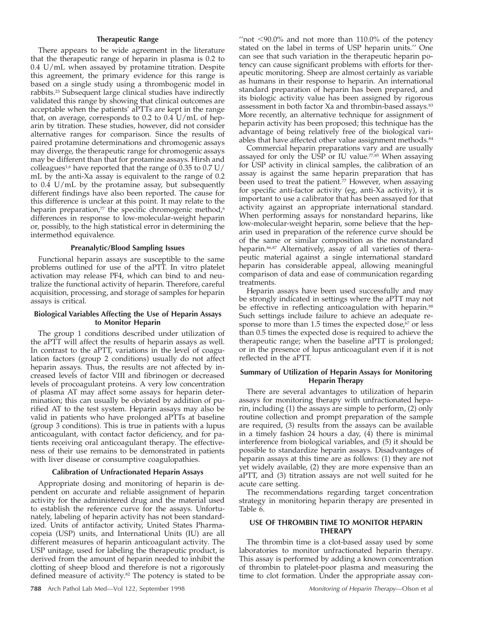# **Therapeutic Range**

There appears to be wide agreement in the literature that the therapeutic range of heparin in plasma is 0.2 to 0.4 U/mL when assayed by protamine titration. Despite this agreement, the primary evidence for this range is based on a single study using a thrombogenic model in rabbits.23 Subsequent large clinical studies have indirectly validated this range by showing that clinical outcomes are acceptable when the patients' aPTTs are kept in the range that, on average, corresponds to 0.2 to 0.4 U/mL of heparin by titration. These studies, however, did not consider alternative ranges for comparison. Since the results of paired protamine determinations and chromogenic assays may diverge, the therapeutic range for chromogenic assays may be different than that for protamine assays. Hirsh and colleagues<sup>1,6</sup> have reported that the range of 0.35 to 0.7 U/ mL by the anti-Xa assay is equivalent to the range of 0.2 to 0.4 U/mL by the protamine assay, but subsequently different findings have also been reported. The cause for this difference is unclear at this point. It may relate to the heparin preparation, $77$  the specific chromogenic method, $6$ differences in response to low-molecular-weight heparin or, possibly, to the high statistical error in determining the intermethod equivalence.

#### **Preanalytic/Blood Sampling Issues**

Functional heparin assays are susceptible to the same problems outlined for use of the aPTT. In vitro platelet activation may release PF4, which can bind to and neutralize the functional activity of heparin. Therefore, careful acquisition, processing, and storage of samples for heparin assays is critical.

# **Biological Variables Affecting the Use of Heparin Assays to Monitor Heparin**

The group 1 conditions described under utilization of the aPTT will affect the results of heparin assays as well. In contrast to the aPTT, variations in the level of coagulation factors (group 2 conditions) usually do not affect heparin assays. Thus, the results are not affected by increased levels of factor VIII and fibrinogen or decreased levels of procoagulant proteins. A very low concentration of plasma AT may affect some assays for heparin determination; this can usually be obviated by addition of purified AT to the test system. Heparin assays may also be valid in patients who have prolonged aPTTs at baseline (group 3 conditions). This is true in patients with a lupus anticoagulant, with contact factor deficiency, and for patients receiving oral anticoagulant therapy. The effectiveness of their use remains to be demonstrated in patients with liver disease or consumptive coagulopathies.

#### **Calibration of Unfractionated Heparin Assays**

Appropriate dosing and monitoring of heparin is dependent on accurate and reliable assignment of heparin activity for the administered drug and the material used to establish the reference curve for the assays. Unfortunately, labeling of heparin activity has not been standardized. Units of antifactor activity, United States Pharmacopeia (USP) units, and International Units (IU) are all different measures of heparin anticoagulant activity. The USP unitage, used for labeling the therapeutic product, is derived from the amount of heparin needed to inhibit the clotting of sheep blood and therefore is not a rigorously defined measure of activity.<sup>82</sup> The potency is stated to be

" $not <$  90.0% and not more than 110.0% of the potency stated on the label in terms of USP heparin units.'' One can see that such variation in the therapeutic heparin potency can cause significant problems with efforts for therapeutic monitoring. Sheep are almost certainly as variable as humans in their response to heparin. An international standard preparation of heparin has been prepared, and its biologic activity value has been assigned by rigorous assessment in both factor Xa and thrombin-based assays.<sup>83</sup> More recently, an alternative technique for assignment of heparin activity has been proposed; this technique has the advantage of being relatively free of the biological variables that have affected other value assignment methods.<sup>84</sup>

Commercial heparin preparations vary and are usually assayed for only the USP or IU value.<sup>77,85</sup> When assaying for USP activity in clinical samples, the calibration of an assay is against the same heparin preparation that has been used to treat the patient.<sup>77</sup> However, when assaying for specific anti-factor activity (eg, anti-Xa activity), it is important to use a calibrator that has been assayed for that activity against an appropriate international standard. When performing assays for nonstandard heparins, like low-molecular-weight heparin, some believe that the heparin used in preparation of the reference curve should be of the same or similar composition as the nonstandard heparin.86,87 Alternatively, assay of all varieties of therapeutic material against a single international standard heparin has considerable appeal, allowing meaningful comparison of data and ease of communication regarding treatments.

Heparin assays have been used successfully and may be strongly indicated in settings where the aPTT may not be effective in reflecting anticoagulation with heparin.<sup>88</sup> Such settings include failure to achieve an adequate response to more than 1.5 times the expected dose, $67$  or less than 0.5 times the expected dose is required to achieve the therapeutic range; when the baseline aPTT is prolonged; or in the presence of lupus anticoagulant even if it is not reflected in the aPTT.

# **Summary of Utilization of Heparin Assays for Monitoring Heparin Therapy**

There are several advantages to utilization of heparin assays for monitoring therapy with unfractionated heparin, including (1) the assays are simple to perform, (2) only routine collection and prompt preparation of the sample are required, (3) results from the assays can be available in a timely fashion 24 hours a day, (4) there is minimal interference from biological variables, and (5) it should be possible to standardize heparin assays. Disadvantages of heparin assays at this time are as follows: (1) they are not yet widely available, (2) they are more expensive than an aPTT, and (3) titration assays are not well suited for he acute care setting.

The recommendations regarding target concentration strategy in monitoring heparin therapy are presented in Table 6.

# **USE OF THROMBIN TIME TO MONITOR HEPARIN THERAPY**

The thrombin time is a clot-based assay used by some laboratories to monitor unfractionated heparin therapy. This assay is performed by adding a known concentration of thrombin to platelet-poor plasma and measuring the time to clot formation. Under the appropriate assay con-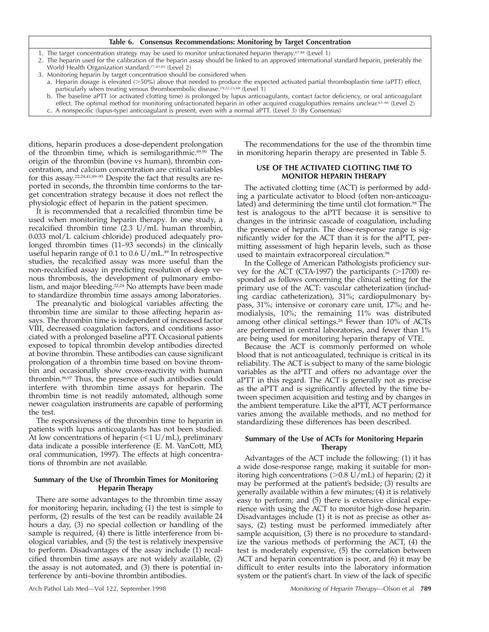#### **Table 6. Consensus Recommendations: Monitoring by Target Concentration**

- 1. The target concentration strategy may be used to monitor unfractionated heparin therapy.<sup>67,88</sup> (Level 1)
- 2. The heparin used for the calibration of the heparin assay should be linked to an approved international standard heparin, preferably the World Health Organization standard.<sup>77,83,85</sup> (Level 2)
- 3. Monitoring heparin by target concentration should be considered when a. Heparin dosage is elevated (>50%) above that needed to produce the expected activated partial thromboplastin time (aPTT) effect,
- particularly when treating venous thromboembolic disease.19,22,23,88 (Level 1) b. The baseline aPTT (or activated clotting time) is prolonged by lupus anticoagulants, contact factor deficiency, or oral anticoagulant effect. The optimal method for monitoring unfractionated heparin in other acquired coagulopathies remains unclear.63-66 (Level 2)
- c. A nonspecific (lupus-type) anticoagulant is present, even with a normal aPTT. (Level 3) (By Consensus)

ditions, heparin produces a dose-dependent prolongation of the thrombin time, which is semilogarithmic.89,90 The origin of the thrombin (bovine vs human), thrombin concentration, and calcium concentration are critical variables for this assay.22,24,41,89–95 Despite the fact that results are reported in seconds, the thrombin time conforms to the target concentration strategy because it does not reflect the physiologic effect of heparin in the patient specimen.

It is recommended that a recalcified thrombin time be used when monitoring heparin therapy. In one study, a recalcified thrombin time (2.3 U/mL human thrombin, 0.033 mol/L calcium chloride) produced adequately prolonged thrombin times (11–93 seconds) in the clinically useful heparin range of 0.1 to 0.6  $U/mL$ .<sup>89</sup> In retrospective studies, the recalcified assay was more useful than the non-recalcified assay in predicting resolution of deep venous thrombosis, the development of pulmonary embolism, and major bleeding.<sup>22,24</sup> No attempts have been made to standardize thrombin time assays among laboratories.

The preanalytic and biological variables affecting the thrombin time are similar to those affecting heparin assays. The thrombin time is independent of increased factor VIII, decreased coagulation factors, and conditions associated with a prolonged baseline aPTT. Occasional patients exposed to topical thrombin develop antibodies directed at bovine thrombin. These antibodies can cause significant prolongation of a thrombin time based on bovine thrombin and occasionally show cross-reactivity with human thrombin.96,97 Thus, the presence of such antibodies could interfere with thrombin time assays for heparin. The thrombin time is not readily automated, although some newer coagulation instruments are capable of performing the test.

The responsiveness of the thrombin time to heparin in patients with lupus anticoagulants has not been studied. At low concentrations of heparin  $(<1$  U/mL), preliminary data indicate a possible interference (E. M. VanCott, MD, oral communication, 1997). The effects at high concentrations of thrombin are not available.

### **Summary of the Use of Thrombin Times for Monitoring Heparin Therapy**

There are some advantages to the thrombin time assay for monitoring heparin, including (1) the test is simple to perform, (2) results of the test can be readily available 24 hours a day, (3) no special collection or handling of the sample is required, (4) there is little interference from biological variables, and (5) the test is relatively inexpensive to perform. Disadvantages of the assay include (1) recalcified thrombin time assays are not widely available, (2) the assay is not automated, and (3) there is potential interference by anti–bovine thrombin antibodies.

The recommendations for the use of the thrombin time in monitoring heparin therapy are presented in Table 5.

#### **USE OF THE ACTIVATED CLOTTING TIME TO MONITOR HEPARIN THERAPY**

The activated clotting time (ACT) is performed by adding a particulate activator to blood (often non-anticoagulated) and determining the time until clot formation.<sup>98</sup> The test is analogous to the aPTT because it is sensitive to changes in the intrinsic cascade of coagulation, including the presence of heparin. The dose-response range is significantly wider for the ACT than it is for the aPTT, permitting assessment of high heparin levels, such as those used to maintain extracorporeal circulation.<sup>98</sup>

In the College of American Pathologists proficiency survey for the ACT (CTA-1997) the participants  $(>1700)$  responded as follows concerning the clinical setting for the primary use of the ACT: vascular catheterization (including cardiac catheterization), 31%; cardiopulmonary bypass, 31%; intensive or coronary care unit, 17%; and hemodialysis, 10%; the remaining 11% was distributed among other clinical settings.<sup>28</sup> Fewer than 10% of ACTs are performed in central laboratories, and fewer than 1% are being used for monitoring heparin therapy of VTE.

Because the ACT is commonly performed on whole blood that is not anticoagulated, technique is critical in its reliability. The ACT is subject to many of the same biologic variables as the aPTT and offers no advantage over the aPTT in this regard. The ACT is generally not as precise as the aPTT and is significantly affected by the time between specimen acquisition and testing and by changes in the ambient temperature. Like the aPTT, ACT performance varies among the available methods, and no method for standardizing these differences has been described.

# **Summary of the Use of ACTs for Monitoring Heparin Therapy**

Advantages of the ACT include the following: (1) it has a wide dose-response range, making it suitable for monitoring high concentrations  $(>0.8 \text{ U/mL})$  of heparin; (2) it may be performed at the patient's bedside; (3) results are generally available within a few minutes; (4) it is relatively easy to perform; and (5) there is extensive clinical experience with using the ACT to monitor high-dose heparin. Disadvantages include (1) it is not as precise as other assays, (2) testing must be performed immediately after sample acquisition, (3) there is no procedure to standardize the various methods of performing the ACT, (4) the test is moderately expensive, (5) the correlation between ACT and heparin concentration is poor, and (6) it may be difficult to enter results into the laboratory information system or the patient's chart. In view of the lack of specific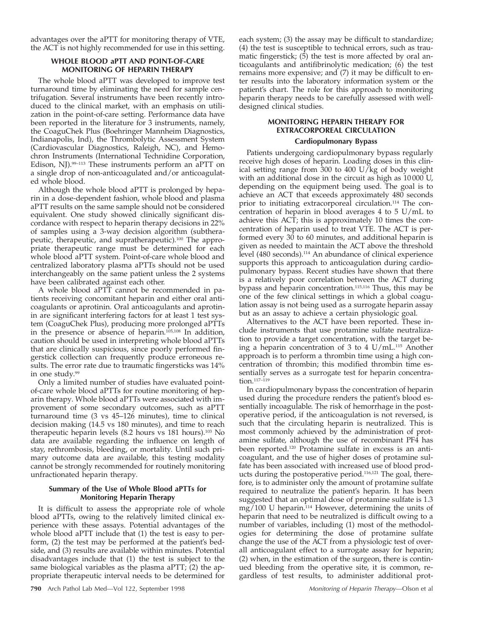advantages over the aPTT for monitoring therapy of VTE, the ACT is not highly recommended for use in this setting.

# **WHOLE BLOOD aPTT AND POINT-OF-CARE MONITORING OF HEPARIN THERAPY**

The whole blood aPTT was developed to improve test turnaround time by eliminating the need for sample centrifugation. Several instruments have been recently introduced to the clinical market, with an emphasis on utilization in the point-of-care setting. Performance data have been reported in the literature for 3 instruments, namely, the CoaguChek Plus (Boehringer Mannheim Diagnostics, Indianapolis, Ind), the Thrombolytic Assessment System (Cardiovascular Diagnostics, Raleigh, NC), and Hemochron Instruments (International Technidine Corporation, Edison, NJ).99–113 These instruments perform an aPTT on a single drop of non-anticoagulated and/or anticoagulated whole blood.

Although the whole blood aPTT is prolonged by heparin in a dose-dependent fashion, whole blood and plasma aPTT results on the same sample should not be considered equivalent. One study showed clinically significant discordance with respect to heparin therapy decisions in 22% of samples using a 3-way decision algorithm (subtherapeutic, therapeutic, and supratherapeutic).100 The appropriate therapeutic range must be determined for each whole blood aPTT system. Point-of-care whole blood and centralized laboratory plasma aPTTs should not be used interchangeably on the same patient unless the 2 systems have been calibrated against each other.

A whole blood aPTT cannot be recommended in patients receiving concomitant heparin and either oral anticoagulants or aprotinin. Oral anticoagulants and aprotinin are significant interfering factors for at least 1 test system (CoaguChek Plus), producing more prolonged aPTTs in the presence or absence of heparin.105,108 In addition, caution should be used in interpreting whole blood aPTTs that are clinically suspicious, since poorly performed fingerstick collection can frequently produce erroneous results. The error rate due to traumatic fingersticks was 14% in one study.99

Only a limited number of studies have evaluated pointof-care whole blood aPTTs for routine monitoring of heparin therapy. Whole blood aPTTs were associated with improvement of some secondary outcomes, such as aPTT turnaround time (3 vs 45–126 minutes), time to clinical decision making (14.5 vs 180 minutes), and time to reach therapeutic heparin levels (8.2 hours vs 181 hours).103 No data are available regarding the influence on length of stay, rethrombosis, bleeding, or mortality. Until such primary outcome data are available, this testing modality cannot be strongly recommended for routinely monitoring unfractionated heparin therapy.

# **Summary of the Use of Whole Blood aPTTs for Monitoring Heparin Therapy**

It is difficult to assess the appropriate role of whole blood aPTTs, owing to the relatively limited clinical experience with these assays. Potential advantages of the whole blood aPTT include that (1) the test is easy to perform, (2) the test may be performed at the patient's bedside, and (3) results are available within minutes. Potential disadvantages include that (1) the test is subject to the same biological variables as the plasma aPTT; (2) the appropriate therapeutic interval needs to be determined for

**790** Arch Pathol Lab Med—Vol 122, September 1998 Monitoring of Heparin Therapy—Olson et al

each system; (3) the assay may be difficult to standardize; (4) the test is susceptible to technical errors, such as traumatic fingerstick; (5) the test is more affected by oral anticoagulants and antifibrinolytic medication; (6) the test remains more expensive; and (7) it may be difficult to enter results into the laboratory information system or the patient's chart. The role for this approach to monitoring heparin therapy needs to be carefully assessed with welldesigned clinical studies.

# **MONITORING HEPARIN THERAPY FOR EXTRACORPOREAL CIRCULATION**

# **Cardiopulmonary Bypass**

Patients undergoing cardiopulmonary bypass regularly receive high doses of heparin. Loading doses in this clinical setting range from 300 to 400 U/kg of body weight with an additional dose in the circuit as high as 10 000 U, depending on the equipment being used. The goal is to achieve an ACT that exceeds approximately 480 seconds prior to initiating extracorporeal circulation.114 The concentration of heparin in blood averages 4 to 5 U/mL to achieve this ACT; this is approximately 10 times the concentration of heparin used to treat VTE. The ACT is performed every 30 to 60 minutes, and additional heparin is given as needed to maintain the ACT above the threshold level (480 seconds).<sup>114</sup> An abundance of clinical experience supports this approach to anticoagulation during cardiopulmonary bypass. Recent studies have shown that there is a relatively poor correlation between the ACT during bypass and heparin concentration.115,116 Thus, this may be one of the few clinical settings in which a global coagulation assay is not being used as a surrogate heparin assay but as an assay to achieve a certain physiologic goal.

Alternatives to the ACT have been reported. These include instruments that use protamine sulfate neutralization to provide a target concentration, with the target being a heparin concentration of 3 to 4  $U/mL$ <sup>115</sup> Another approach is to perform a thrombin time using a high concentration of thrombin; this modified thrombin time essentially serves as a surrogate test for heparin concentration.117–119

In cardiopulmonary bypass the concentration of heparin used during the procedure renders the patient's blood essentially incoagulable. The risk of hemorrhage in the postoperative period, if the anticoagulation is not reversed, is such that the circulating heparin is neutralized. This is most commonly achieved by the administration of protamine sulfate, although the use of recombinant PF4 has been reported.120 Protamine sulfate in excess is an anticoagulant, and the use of higher doses of protamine sulfate has been associated with increased use of blood products during the postoperative period.<sup>116,121</sup> The goal, therefore, is to administer only the amount of protamine sulfate required to neutralize the patient's heparin. It has been suggested that an optimal dose of protamine sulfate is 1.3  $mg/100$  U heparin.<sup>114</sup> However, determining the units of heparin that need to be neutralized is difficult owing to a number of variables, including (1) most of the methodologies for determining the dose of protamine sulfate change the use of the ACT from a physiologic test of overall anticoagulant effect to a surrogate assay for heparin; (2) when, in the estimation of the surgeon, there is continued bleeding from the operative site, it is common, regardless of test results, to administer additional prot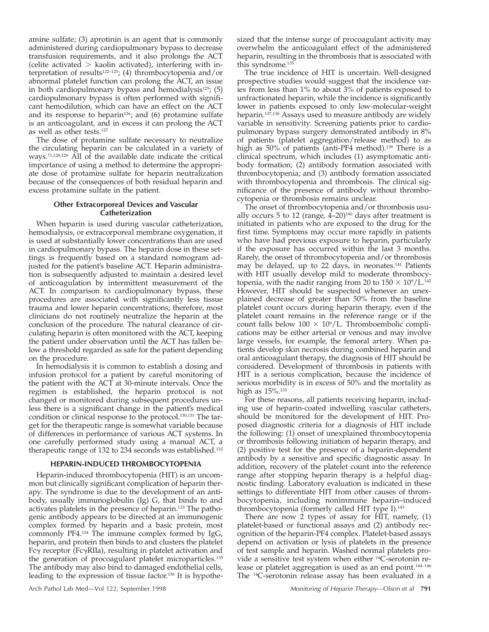amine sulfate; (3) aprotinin is an agent that is commonly administered during cardiopulmonary bypass to decrease transfusion requirements, and it also prolongs the ACT (celite activated  $>$  kaolin activated), interfering with interpretation of results<sup>122-125</sup>; (4) thrombocytopenia and/or abnormal platelet function can prolong the ACT, an issue in both cardiopulmonary bypass and hemodialysis $125$ ; (5) cardiopulmonary bypass is often performed with significant hemodilution, which can have an effect on the ACT and its response to heparin<sup>126</sup>; and  $(6)$  protamine sulfate is an anticoagulant, and in excess it can prolong the ACT as well as other tests.127

The dose of protamine sulfate necessary to neutralize the circulating heparin can be calculated in a variety of ways.71,128,129 All of the available date indicate the critical importance of using a method to determine the appropriate dose of protamine sulfate for heparin neutralization because of the consequences of both residual heparin and excess protamine sulfate in the patient.

# **Other Extracorporeal Devices and Vascular Catheterization**

When heparin is used during vascular catheterization, hemodialysis, or extracorporeal membrane oxygenation, it is used at substantially lower concentrations than are used in cardiopulmonary bypass. The heparin dose in these settings is frequently based on a standard nomogram adjusted for the patient's baseline ACT. Heparin administration is subsequently adjusted to maintain a desired level of anticoagulation by intermittent measurement of the ACT. In comparison to cardiopulmonary bypass, these procedures are associated with significantly less tissue trauma and lower heparin concentrations; therefore, most clinicians do not routinely neutralize the heparin at the conclusion of the procedure. The natural clearance of circulating heparin is often monitored with the ACT, keeping the patient under observation until the ACT has fallen below a threshold regarded as safe for the patient depending on the procedure.

In hemodialysis it is common to establish a dosing and infusion protocol for a patient by careful monitoring of the patient with the ACT at 30-minute intervals. Once the regimen is established, the heparin protocol is not changed or monitored during subsequent procedures unless there is a significant change in the patient's medical condition or clinical response to the protocol.130,131 The target for the therapeutic range is somewhat variable because of differences in performance of various ACT systems. In one carefully performed study using a manual ACT, a therapeutic range of 132 to 234 seconds was established.132

# **HEPARIN-INDUCED THROMBOCYTOPENIA**

Heparin-induced thrombocytopenia (HIT) is an uncommon but clinically significant complication of heparin therapy. The syndrome is due to the development of an antibody, usually immunoglobulin (Ig) G, that binds to and activates platelets in the presence of heparin.133 The pathogenic antibody appears to be directed at an immunogenic complex formed by heparin and a basic protein, most commonly PF4.134 The immune complex formed by IgG, heparin, and protein then binds to and clusters the platelet  $Fc\gamma$  receptor ( $Fc\gamma$ RIIa), resulting in platelet activation and the generation of procoagulant platelet microparticles.135 The antibody may also bind to damaged endothelial cells, leading to the expression of tissue factor.136 It is hypothe-

sized that the intense surge of procoagulant activity may overwhelm the anticoagulant effect of the administered heparin, resulting in the thrombosis that is associated with this syndrome.135

The true incidence of HIT is uncertain. Well-designed prospective studies would suggest that the incidence varies from less than 1% to about 3% of patients exposed to unfractionated heparin, while the incidence is significantly lower in patients exposed to only low-molecular-weight heparin.<sup>137,138</sup> Assays used to measure antibody are widely variable in sensitivity. Screening patients prior to cardiopulmonary bypass surgery demonstrated antibody in 8% of patients (platelet aggregation/release method) to as high as 50% of patients (anti-PF4 method).<sup>139</sup> There is a clinical spectrum, which includes (1) asymptomatic antibody formation; (2) antibody formation associated with thrombocytopenia; and (3) antibody formation associated with thrombocytopenia and thrombosis. The clinical significance of the presence of antibody without thrombocytopenia or thrombosis remains unclear.

The onset of thrombocytopenia and/or thrombosis usually occurs 5 to 12 (range,  $4-20$ )<sup>140</sup> days after treatment is initiated in patients who are exposed to the drug for the first time. Symptoms may occur more rapidly in patients who have had previous exposure to heparin, particularly if the exposure has occurred within the last 3 months. Rarely, the onset of thrombocytopenia and/or thrombosis may be delayed, up to 22 days, in neonates.141 Patients with HIT usually develop mild to moderate thrombocytopenia, with the nadir ranging from 20 to  $150 \times 10^9 / L^{142}$ However, HIT should be suspected whenever an unexplained decrease of greater than 50% from the baseline platelet count occurs during heparin therapy, even if the platelet count remains in the reference range or if the count falls below  $100 \times 10^9$ /L. Thromboembolic complications may be either arterial or venous and may involve large vessels, for example, the femoral artery. When patients develop skin necrosis during combined heparin and oral anticoagulant therapy, the diagnosis of HIT should be considered. Development of thrombosis in patients with HIT is a serious complication, because the incidence of serious morbidity is in excess of 50% and the mortality as high as  $15\%$ .<sup>133</sup>

For these reasons, all patients receiving heparin, including use of heparin-coated indwelling vascular catheters, should be monitored for the development of HIT. Proposed diagnostic criteria for a diagnosis of HIT include the following: (1) onset of unexplained thrombocytopenia or thrombosis following initiation of heparin therapy, and (2) positive test for the presence of a heparin-dependent antibody by a sensitive and specific diagnostic assay. In addition, recovery of the platelet count into the reference range after stopping heparin therapy is a helpful diagnostic finding. Laboratory evaluation is indicated in these settings to differentiate HIT from other causes of thrombocytopenia, including nonimmune heparin–induced thrombocytopenia (formerly called HIT type I).143

There are now 2 types of assay for HIT, namely, (1) platelet-based or functional assays and (2) antibody recognition of the heparin-PF4 complex. Platelet-based assays depend on activation or lysis of platelets in the presence of test sample and heparin. Washed normal platelets provide a sensitive test system when either 14C-serotonin release or platelet aggregation is used as an end point.144–146 The 14C-serotonin release assay has been evaluated in a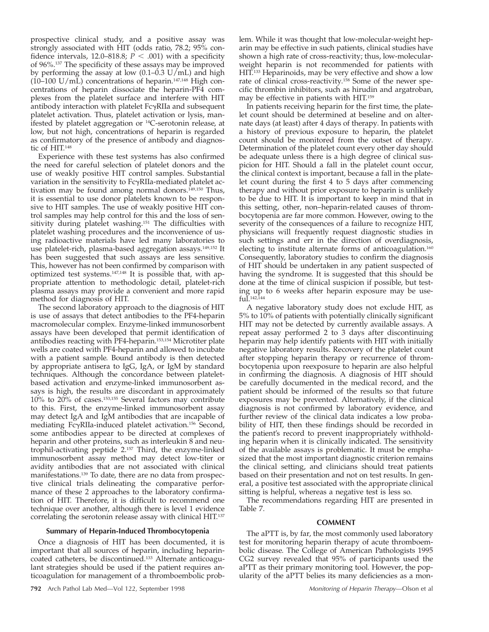prospective clinical study, and a positive assay was strongly associated with HIT (odds ratio, 78.2; 95% confidence intervals, 12.0–818.8;  $P < .001$ ) with a specificity of 96%.137 The specificity of these assays may be improved by performing the assay at low  $(0.1-0.3 \text{ U/mL})$  and high (10–100 U/mL) concentrations of heparin.147,148 High concentrations of heparin dissociate the heparin-PF4 complexes from the platelet surface and interfere with HIT antibody interaction with platelet  $Fc\gamma RII$ a and subsequent platelet activation. Thus, platelet activation or lysis, manifested by platelet aggregation or 14C-serotonin release, at low, but not high, concentrations of heparin is regarded as confirmatory of the presence of antibody and diagnostic of HIT.148

Experience with these test systems has also confirmed the need for careful selection of platelet donors and the use of weakly positive HIT control samples. Substantial variation in the sensitivity to FcγRIIa-mediated platelet activation may be found among normal donors.<sup>149,150</sup> Thus, it is essential to use donor platelets known to be responsive to HIT samples. The use of weakly positive HIT control samples may help control for this and the loss of sensitivity during platelet washing.151 The difficulties with platelet washing procedures and the inconvenience of using radioactive materials have led many laboratories to use platelet-rich, plasma-based aggregation assays.149,152 It has been suggested that such assays are less sensitive. This, however has not been confirmed by comparison with optimized test systems.147,148 It is possible that, with appropriate attention to methodologic detail, platelet-rich plasma assays may provide a convenient and more rapid method for diagnosis of HIT.

The second laboratory approach to the diagnosis of HIT is use of assays that detect antibodies to the PF4-heparin macromolecular complex. Enzyme-linked immunosorbent assays have been developed that permit identification of antibodies reacting with PF4-heparin.153,154 Microtiter plate wells are coated with PF4-heparin and allowed to incubate with a patient sample. Bound antibody is then detected by appropriate antisera to IgG, IgA, or IgM by standard techniques. Although the concordance between plateletbased activation and enzyme-linked immunosorbent assays is high, the results are discordant in approximately 10% to 20% of cases.153,155 Several factors may contribute to this. First, the enzyme-linked immunosorbent assay may detect IgA and IgM antibodies that are incapable of mediating FcyRIIa-induced platelet activation.<sup>156</sup> Second, some antibodies appear to be directed at complexes of heparin and other proteins, such as interleukin 8 and neutrophil-activating peptide 2.157 Third, the enzyme-linked immunosorbent assay method may detect low-titer or avidity antibodies that are not associated with clinical manifestations.139 To date, there are no data from prospective clinical trials delineating the comparative performance of these 2 approaches to the laboratory confirmation of HIT. Therefore, it is difficult to recommend one technique over another, although there is level 1 evidence correlating the serotonin release assay with clinical HIT.137

# **Summary of Heparin-Induced Thrombocytopenia**

Once a diagnosis of HIT has been documented, it is important that all sources of heparin, including heparincoated catheters, be discontinued.133 Alternate anticoagulant strategies should be used if the patient requires anticoagulation for management of a thromboembolic problem. While it was thought that low-molecular-weight heparin may be effective in such patients, clinical studies have shown a high rate of cross-reactivity; thus, low-molecularweight heparin is not recommended for patients with HIT.133 Heparinoids, may be very effective and show a low rate of clinical cross-reactivity.158 Some of the newer specific thrombin inhibitors, such as hirudin and argatroban, may be effective in patients with HIT.159

In patients receiving heparin for the first time, the platelet count should be determined at beseline and on alternate days (at least) after 4 days of therapy. In patients with a history of previous exposure to heparin, the platelet count should be monitored from the outset of therapy. Determination of the platelet count every other day should be adequate unless there is a high degree of clinical suspicion for HIT. Should a fall in the platelet count occur, the clinical context is important, because a fall in the platelet count during the first 4 to 5 days after commencing therapy and without prior exposure to heparin is unlikely to be due to HIT. It is important to keep in mind that in this setting, other, non–heparin-related causes of thrombocytopenia are far more common. However, owing to the severity of the consequences of a failure to recognize HIT, physicians will frequently request diagnostic studies in such settings and err in the direction of overdiagnosis, electing to institute alternate forms of anticoagulation.<sup>160</sup> Consequently, laboratory studies to confirm the diagnosis of HIT should be undertaken in any patient suspected of having the syndrome. It is suggested that this should be done at the time of clinical suspicion if possible, but testing up to 6 weeks after heparin exposure may be use $fuI.142,144$ 

A negative laboratory study does not exclude HIT, as 5% to 10% of patients with potentially clinically significant HIT may not be detected by currently available assays. A repeat assay performed 2 to 3 days after discontinuing heparin may help identify patients with HIT with initially negative laboratory results. Recovery of the platelet count after stopping heparin therapy or recurrence of thrombocytopenia upon reexposure to heparin are also helpful in confirming the diagnosis. A diagnosis of HIT should be carefully documented in the medical record, and the patient should be informed of the results so that future exposures may be prevented. Alternatively, if the clinical diagnosis is not confirmed by laboratory evidence, and further review of the clinical data indicates a low probability of HIT, then these findings should be recorded in the patient's record to prevent inappropriately withholding heparin when it is clinically indicated. The sensitivity of the available assays is problematic. It must be emphasized that the most important diagnostic criterion remains the clinical setting, and clinicians should treat patients based on their presentation and not on test results. In general, a positive test associated with the appropriate clinical sitting is helpful, whereas a negative test is less so.

The recommendations regarding HIT are presented in Table 7.

#### **COMMENT**

The aPTT is, by far, the most commonly used laboratory test for monitoring heparin therapy of acute thromboembolic disease. The College of American Pathologists 1995 CG2 survey revealed that 95% of participants used the aPTT as their primary monitoring tool. However, the popularity of the aPTT belies its many deficiencies as a mon-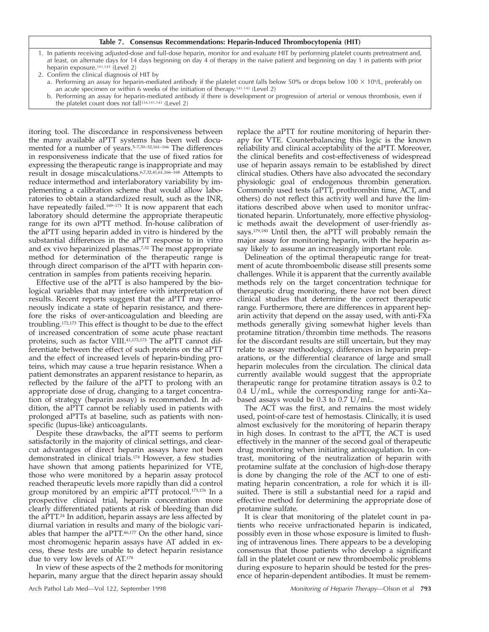#### **Table 7. Consensus Recommendations: Heparin-Induced Thrombocytopenia (HIT)**

1. In patients receiving adjusted-dose and full-dose heparin, monitor for and evaluate HIT by performing platelet counts pretreatment and, at least, on alternate days for 14 days beginning on day 4 of therapy in the naive patient and beginning on day 1 in patients with prior heparin exposure.141,143 (Level 2)

2. Confirm the clinical diagnosis of HIT by

- a. Performing an assay for heparin-mediated antibody if the platelet count falls below 50% or drops below 100  $\times$  10%, preferably on an acute specimen or within 6 weeks of the initiation of therapy.141,143 (Level 2)
- b. Performing an assay for heparin-mediated antibody if there is development or progression of arterial or venous thrombosis, even if the platelet count does not fall<sup>134,141,143</sup> (Level 2)

itoring tool. The discordance in responsiveness between the many available aPTT systems has been well documented for a number of years.<sup>5-7,30-32,161-166</sup> The differences in responsiveness indicate that the use of fixed ratios for expressing the therapeutic range is inappropriate and may result in dosage miscalculations.6,7,32,41,61,166–168 Attempts to reduce intermethod and interlaboratory variability by implementing a calibration scheme that would allow laboratories to obtain a standardized result, such as the INR, have repeatedly failed.<sup>169-171</sup> It is now apparent that each laboratory should determine the appropriate therapeutic range for its own aPTT method. In-house calibration of the aPTT using heparin added in vitro is hindered by the substantial differences in the aPTT response to in vitro and ex vivo heparinized plasmas.7,32 The most appropriate method for determination of the therapeutic range is through direct comparison of the aPTT with heparin concentration in samples from patients receiving heparin.

Effective use of the aPTT is also hampered by the biological variables that may interfere with interpretation of results. Recent reports suggest that the aPTT may erroneously indicate a state of heparin resistance, and therefore the risks of over-anticoagulation and bleeding are troubling.172,173 This effect is thought to be due to the effect of increased concentration of some acute phase reactant proteins, such as factor VIII.41,172,173 The aPTT cannot differentiate between the effect of such proteins on the aPTT and the effect of increased levels of heparin-binding proteins, which may cause a true heparin resistance. When a patient demonstrates an apparent resistance to heparin, as reflected by the failure of the aPTT to prolong with an appropriate dose of drug, changing to a target concentration of strategy (heparin assay) is recommended. In addition, the aPTT cannot be reliably used in patients with prolonged aPTTs at baseline, such as patients with nonspecific (lupus-like) anticoagulants.

Despite these drawbacks, the aPTT seems to perform satisfactorily in the majority of clinical settings, and clearcut advantages of direct heparin assays have not been demonstrated in clinical trials.174 However, a few studies have shown that among patients heparinized for VTE, those who were monitored by a heparin assay protocol reached therapeutic levels more rapidly than did a control group monitored by an empiric aPTT protocol.175,176 In a prospective clinical trial, heparin concentration more clearly differentiated patients at risk of bleeding than did the aPTT.24 In addition, heparin assays are less affected by diurnal variation in results and many of the biologic variables that hamper the aPTT.46,177 On the other hand, since most chromogenic heparin assays have AT added in excess, these tests are unable to detect heparin resistance due to very low levels of AT.178

In view of these aspects of the 2 methods for monitoring heparin, many argue that the direct heparin assay should

replace the aPTT for routine monitoring of heparin therapy for VTE. Counterbalancing this logic is the known reliability and clinical acceptability of the aPTT. Moreover, the clinical benefits and cost-effectiveness of widespread use of heparin assays remain to be established by direct clinical studies. Others have also advocated the secondary physiologic goal of endogenous thrombin generation. Commonly used tests (aPTT, prothrombin time, ACT, and others) do not reflect this activity well and have the limitations described above when used to monitor unfractionated heparin. Unfortunately, more effective physiologic methods await the development of user-friendly assays.179,180 Until then, the aPTT will probably remain the major assay for monitoring heparin, with the heparin assay likely to assume an increasingly important role.

Delineation of the optimal therapeutic range for treatment of acute thromboembolic disease still presents some challenges. While it is apparent that the currently available methods rely on the target concentration technique for therapeutic drug monitoring, there have not been direct clinical studies that determine the correct therapeutic range. Furthermore, there are differences in apparent heparin activity that depend on the assay used, with anti-FXa methods generally giving somewhat higher levels than protamine titration/thrombin time methods. The reasons for the discordant results are still uncertain, but they may relate to assay methodology, differences in heparin preparations, or the differential clearance of large and small heparin molecules from the circulation. The clinical data currently available would suggest that the appropriate therapeutic range for protamine titration assays is 0.2 to 0.4 U/mL, while the corresponding range for anti-Xa– based assays would be 0.3 to 0.7 U/mL.

The ACT was the first, and remains the most widely used, point-of-care test of hemostasis. Clinically, it is used almost exclusively for the monitoring of heparin therapy in high doses. In contrast to the aPTT, the ACT is used effectively in the manner of the second goal of therapeutic drug monitoring when initiating anticoagulation. In contrast, monitoring of the neutralization of heparin with protamine sulfate at the conclusion of high-dose therapy is done by changing the role of the ACT to one of estimating heparin concentration, a role for which it is illsuited. There is still a substantial need for a rapid and effective method for determining the appropriate dose of protamine sulfate.

It is clear that monitoring of the platelet count in patients who receive unfractionated heparin is indicated, possibly even in those whose exposure is limited to flushing of intravenous lines. There appears to be a developing consensus that those patients who develop a significant fall in the platelet count or new thromboembolic problems during exposure to heparin should be tested for the presence of heparin-dependent antibodies. It must be remem-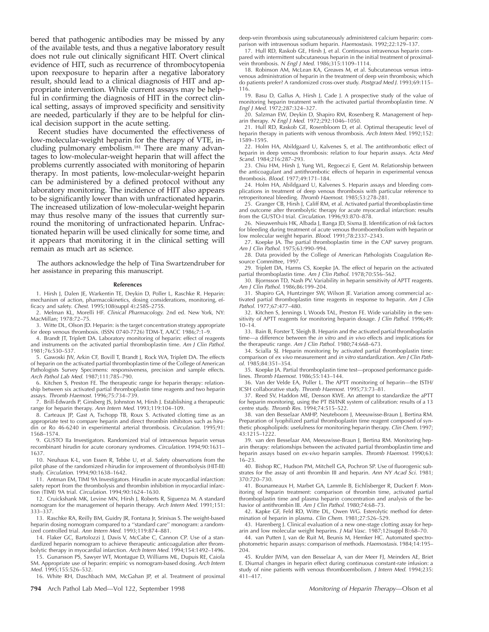bered that pathogenic antibodies may be missed by any of the available tests, and thus a negative laboratory result does not rule out clinically significant HIT. Overt clinical evidence of HIT, such as recurrence of thrombocytopenia upon reexposure to heparin after a negative laboratory result, should lead to a clinical diagnosis of HIT and appropriate intervention. While current assays may be helpful in confirming the diagnosis of HIT in the correct clinical setting, assays of improved specificity and sensitivity are needed, particularly if they are to be helpful for clinical decision support in the acute setting.

Recent studies have documented the effectiveness of low-molecular-weight heparin for the therapy of VTE, including pulmonary embolism.<sup>181</sup> There are many advantages to low-molecular-weight heparin that will affect the problems currently associated with monitoring of heparin therapy. In most patients, low-molecular-weight heparin can be administered by a defined protocol without any laboratory monitoring. The incidence of HIT also appears to be significantly lower than with unfractionated heparin. The increased utilization of low-molecular-weight heparin may thus resolve many of the issues that currently surround the monitoring of unfractionated heparin. Unfractionated heparin will be used clinically for some time, and it appears that monitoring it in the clinical setting will remain as much art as science.

The authors acknowledge the help of Tina Swartzendruber for her assistance in preparing this manuscript.

#### **References**

1. Hirsh J, Dalen JE, Warkentin TE, Deykin D, Poller L, Raschke R. Heparin: mechanism of action, pharmacokinetics, dosing considerations, monitoring, efficacy and safety. Chest. 1995;108(suppl 4):258S–275S.

2. Melman KL, Morelli HF. Clinical Pharmacology. 2nd ed. New York, NY: MacMillan; 1978:72–75.

3. Witte DL, Olson JD. Heparin: is the target concentration strategy appropriate for deep venous thrombosis. (ISSN 0740-7726) TDM-T, AACC 1986;7:1–9.

4. Brandt JT, Triplett DA. Laboratory monitoring of heparin: effect of reagents and instruments on the activated partial thromboplastin time. Am J Clin Pathol. 1981;76:530–537.

5. Gawoski JW, Arkin CF, Bovill T, Brandt J, Rock WA, Triplett DA. The effects of heparin on the activated partial thromboplastin time of the College of American Pathologists Survey Specimens: responsiveness, precision and sample effects. Arch Pathol Lab Med. 1987;111:785–790.

6. Kitchen S, Preston FE. The therapeutic range for heparin therapy: relationship between six activated partial thromboplastin time reagents and two heparin assays. Thromb Haemost. 1996;75:734–739.

7. Brill-Edwards P, Ginsberg JS, Johnston M, Hirsh J. Establishing a therapeutic range for heparin therapy. Ann Intern Med. 1993;119:104–109.

8. Carteaux JP, Gast A, Tschopp TB, Roux S. Activated clotting time as an appropriate test to compare heparin and direct thrombin inhibitors such as hirudin or Ro 46-6240 in experimental arterial thrombosis. Circulation. 1995;91: 1568–1574.

9. GUSTO IIa Investigators. Randomized trial of intravenous heparin versus recombinant hirudin for acute coronary syndromes. Circulation. 1994;90:1631– 1637.

10. Neuhaus K-L, von Essen R, Tebbe U, et al. Safety observations from the pilot phase of the randomized r-hirudin for improvement of thrombolysis (HIT-III) study. Circulation. 1994;90:1638–1642.

11. Antman EM, TIMI 9A Investigators. Hirudin in acute myocardial infarction: safety report from the thrombolysis and thrombin inhibition in myocardial infarction (TIMI) 9A trial. Circulation. 1994;90:1624–1630.

12. Cruickshank MK, Levine MN, Hirsh J, Roberts R, Siguenza M. A standard nomogram for the management of heparin therapy. Arch Intern Med. 1991;151: 333–337.

13. Raschke RA, Reilly BM, Guidry JR, Fontana Jr, Srinivas S. The weight-based heparin dosing nomogram compared to a ''standard care'' monogram: a randomized controlled trial. Ann Intern Med. 1993;119:874–881.

14. Flaker GC, Bartolozzi J, Davis V, McCabe C, Cannon CP. Use of a standardized heparin nomogram to achieve therapeutic anticoagulation after thrombolytic therapy in myocardial infarction. Arch Intern Med. 1994;154:1492–1496.

15. Gunarsson PS, Sawyer WT, Montague D, Williams ML, Dupuis RE, Caiola SM. Appropriate use of heparin: empiric vs nomogram-based dosing. Arch Intern Med. 1995;155:526–532.

16. White RH, Daschbach MM, McGahan JP, et al. Treatment of proximal

**794** Arch Pathol Lab Med—Vol 122, September 1998 Monitoring of Heparin Therapy—Olson et al

deep-vein thrombosis using subcutaneously administered calcium heparin: comparison with intravenous sodium heparin. Haemostasis. 1992;22:129-137.

17. Hull RD, Raskob GE, Hirsh J, et al. Continuous intravenous heparin compared with intermittent subcutaneous heparin in the initial treatment of proximal-.<br>vein thrombosis. N Engl J Med. 1986;315:1109–1114.

18. Robinson AM, McLean KA, Greaves M, et al. Subcutaneous versus intravenous administration of heparin in the treatment of deep vein thrombosis; which do patients prefer? A randomized cross-over study. Postgrad Med J. 1993;69:115– 116.

19. Basu D, Gallus A, Hirsh J, Cade J. A prospective study of the value of monitoring heparin treatment with the activated partial thromboplastin time. N Engl J Med. 1972;287:324–327.

20. Salzman EW, Deykin D, Shapiro RM, Rosenberg R. Management of heparin therapy. <sup>N</sup> Engl J Med. 1972;292:1046–1050.

21. Hull RD, Raskob GE, Rosenbloom D, et al. Optimal therapeutic level of heparin therapy in patients with venous thrombosis. Arch Intern Med. 1992;152: 1589–1595.

22. Holm HA, Abildgaard U, Kalvenes S, et al. The antithrombotic effect of heparin in deep venous thrombosis: relation to four heparin assays. Acta Med Scand. 1984;216:287–293.

23. Chiu HM, Hirsh J, Yung WL, Regoeczi E, Gent M. Relationship between the anticoagulant and antithrombotic effects of heparin in experimental venous thrombosis. Blood. 1977;49:171–184.

24. Holm HA, Abildgaard U, Kalvenes S. Heparin assays and bleeding complications in treatment of deep venous thrombosis with particular reference to retroperitoneal bleeding. Thromb Haemost. 1985;53:278-281.

25. Granger CB, Hirsh J, Califf RM, et al. Activated partial thromboplastin time and outcome after thrombolytic therapy for acute myocardial infarction: results from the GUSTO-I trial. Circulation. 1996;93:870–878.

26. Nieuwenhuis HK, Albada J, Banga JD, Sixma JJ. Identification of risk factors for bleeding during treatment of acute venous thromboembolism with heparin or low molecular weight heparin. Blood. 1991;78:2337–2343.

27. Koepke JA. The partial thromboplastin time in the CAP survey program. Am J Clin Pathol. 1975;63:990–994.

28. Data provided by the College of American Pathologists Coagulation Resource Committee, 1997.

29. Triplett DA, Harms CS, Koepke JA. The effect of heparin on the activated partial thromboplastin time. Am J Clin Pathol. 1978;70:556–562.

30. Bjornsson TD, Nash PV. Variability in heparin sensitivity of APTT reagents. Am J Clin Pathol. 1986;86:199–204.

31. Shapiro GA, Huntzinger SW, Wilson JE. Variation among commercial activated partial thromboplastin time reagents in response to heparin. Am J Clin Pathol. 1977;67:477–480.

32. Kitchen S, Jennings I, Woods TAL, Preston FE. Wide variability in the sensitivity of APTT reagents for monitoring heparin dosage. J Clin Pathol. 1996;49: 10–14.

33. Bain B, Forster T, Sleigh B. Heparin and the activated partial thromboplastin time—a difference between the in vitro and in vivo effects and implications for the therapeutic range. Am J Clin Pathol. 1980;74:668–673.

34. Scialla SJ. Heparin monitoring by activated partial thromboplastin time: comparison of ex vivo measurement and in vitro standardization. Am J Clin Pathol. 1985;84:351–354.

35. Koepke JA. Partial thromboplastin time test—proposed performance guidelines. Thromb Haemost. 1986;55:143–144.

36. Van der Velde EA, Poller L. The APTT monitoring of heparin—the ISTH/ ICSH collaborative study. Thromb Haemost. 1995;73:73–81.

37. Reed SV, Haddon ME, Denson KWE. An attempt to standardize the aPTT for heparin monitoring, using the PT ISI/INR system of calibration: results of a 13 centre study. Thromb Res. 1994;74:515–522.

38. van den Besselaar AMHP, Neuteboom J, Meeuwisse-Braun J, Bertina RM. Preparation of lyophilized partial thromboplastin time reagent composed of synthetic phospholipids: usefulness for monitoring heparin therapy. Clin Chem. 1997; 43:1215–1222.

39. van den Besselaar AM, Meeuwisse-Braun J, Bertina RM. Monitoring heparin therapy: relationships between the activated partial thromboplastin time and heparin assays based on ex-vivo heparin samples. Thromb Haemost. 1990;63: 16–23.

40. Bishop RC, Hudson PM, Mitchell GA, Pochron SP. Use of fluorogenic substrates for the assay of anti thrombin III and heparin. Ann NY Acad Sci. 1981; 370:720–730.

41. Bounameaux H, Marbet GA, Lammle B, Eichlisberger R, Duckert F. Monitoring of heparin treatment: comparison of thrombin time, activated partial thromboplastin time and plasma heparin concentration and analysis of the behavior of antithrombin III. Am J Clin Pathol. 1980;74:68-73.

42. Kapke GF, Feld RD, Witte DL, Owen WG. Esterolytic method for determination of heparin in plasma. Clin Chem. 1981;27:526–529.

43. Harenberg J. Clinical evaluation of a new one-stage clotting assay for heparin and low molecular weight heparins. J Mal Vasc. 1987;12(suppl B):68-70.

44. van Putten J, van de Ruit M, Beunis M, Hemker HC. Automated spectrophotometric heparin assays: comparison of methods. Haemostasis. 1984;14:195– 204.

45. Krulder JWM, van den Besselaar A, van der Meer FJ, Meinders AE, Briet E. Diurnal changes in heparin effect during continuous constant-rate infusion: a study of nine patients with venous thromboembolism. J Intern Med. 1994;235: 411–417.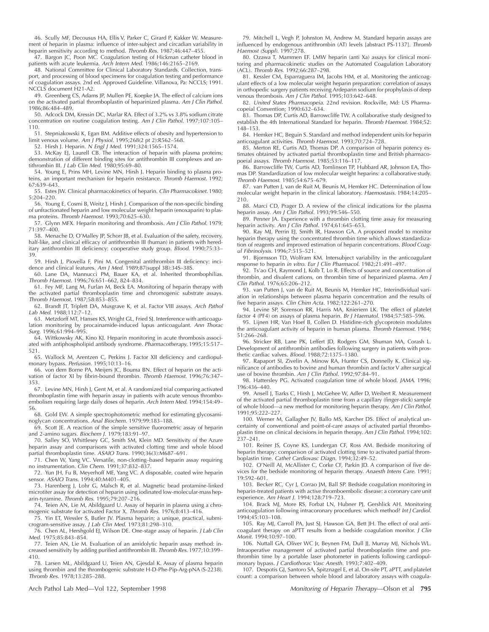46. Scully MF, Decousus HA, Ellis V, Parker C, Girard P, Kakker W. Measurement of heparin in plasma: influence of inter-subject and circadian variability in heparin sensitivity according to method. Thromb Res. 1987;46:447–455.

47. Bargon JC, Poon MC. Coagulation testing of Hickman catheter blood in patients with acute leukemia. Arch Intern Med. 1986;146:2165–2169.

48. National Committee for Clinical Laboratory Standards. Collection, transport, and processing of blood specimens for coagulation testing and performance of coagulation assays. 2nd ed. Approved Guideline. Villanova, Pa: NCCLS; 1991. NCCLS document H21-A2.

49. Greenberg CS, Adams JP, Mullen PE, Koepke JA. The effect of calcium ions on the activated partial thromboplastin of heparinized plasma. Am J Clin Pathol. 1986;86:484–489.

50. Adcock DM, Kressin DC, Marlar RA. Effect of 3.2% vs 3.8% sodium citrate concentration on routine coagulation testing. Am J Clin Pathol. 1997;107:105– 110.

51. Stepniakowski K, Egan BM. Additive effects of obesity and hypertension to limit venous volume. Am J Physiol. 1995;268(2 pt 2):R562–568.

52. Hirsh J. Heparin. <sup>N</sup> Engl J Med. 1991;324:1565–1574.

53. McKay EJ, Laurell CB. The interaction of heparin with plasma proteins; demonstration of different binding sites for antithrombin III complexes and antithrombin III. J Lab Clin Med. 1980;95:69–80.

54. Young E, Prins MH, Levine MN, Hirsh J. Heparin binding to plasma proteins, an important mechanism for heparin resistance. Thromb Haemost. 1992; 67:639–643.

55. Estes JW. Clinical pharmacokinetics of heparin. Clin Pharmacokinet. 1980; 5:204–220.

56. Young E, Cosmi B, Weitz J, Hirsh J. Comparison of the non-specific binding of unfractionated heparin and low molecular weight heparin (enoxaparin) to plasma proteins. Thromb Haemost. 1993;70:625–630.

57. Glynn MFX. Heparin monitoring and thrombosis. Am J Clin Pathol. 1979; 71:397–400.

58. Menache D, O'Malley JP, Schorr JB, et al. Evaluation of the safety, recovery, half-like, and clinical efficacy of antithrombin III (human) in patients with hereditary antithrombin III deficiency: cooperative study group. Blood. 1990;75:33-39.

59. Hirsh J, Piovella F, Pini M. Congenital antithrombin III deficiency: incidence and clinical features. Am J Med. 1989;87(suppl 3B):34S–38S.

60. Lane DA, Mannucci PM, Bauer KA, et al. Inherited thrombophilias. Thromb Haemost. 1996;76:651–662, 824–834.

61. Fey MF, Lang M, Furlan M, Beck EA. Monitoring of heparin therapy with the activated partial thromboplastin time and chromogenic substrate assays. Thromb Haemost. 1987;58:853–855.

62. Brandt JT, Triplett DA, Musgrave K, et al. Factor VIII assays. Arch Pathol Lab Med. 1988;112:7–12.

63. Metzdorff MT, Hanses KS, Wright GL, Fried SJ. Interference with anticoagulation monitoring by procainamide-induced lupus anticoagulant. Ann Thorac Surg. 1996;61:994–995.

64. Wittkowsky AK, Kino KJ. Heparin monitoring in acute thrombosis associated with antiphospholipid antibody syndrome. Pharmacotherapy. 1995;15:517– 521.

65. Wallock M, Arentzen C, Perkins J. Factor XII deficiency and cardiopulmonary bypass. Perfusion. 1995;10:13–16.

66. von dem Borne PA, Meijers JC, Bouma BN. Effect of heparin on the activation of factor XI by fibrin-bound thrombin. Thromb Haemost. 1996;76:347– 353.

67. Levine MN, Hirsh J, Gent M, et al. A randomized trial comparing activated thromboplastin time with heparin assay in patients with acute venous thromboembolism requiring large daily doses of heparin. Arch Intern Med. 1994;154:49– 56.

68. Gold EW. A simple spectrophotometric method for estimating glycosaminoglycan concentrations. Anal Biochem. 1979;99:183–188.

69. Scott JE. A reaction of the simple sensitive fluorometric assay of heparin and 2-amino sugars. Biochem J. 1979;183:91–97.

70. Salley SO, Whittlesey GC, Smith SM, Klein MD. Sensitivity of the Azure heparin assay and comparisons with activated clotting time and whole blood partial thromboplastin time. ASAIO Trans. 1990;36(3):M687-691.

71. Chen W, Yang VC. Versatile, non-clotting–based heparin assay requiring no instrumentation. Clin Chem. 1991;37:832–837.

72. Yun JH, Fu B, Meyerhoff ME, Yang VC. A disposable, coated wire heparin sensor. ASAIO Trans. 1994;40:M401–405.

73. Harenberg J, Lohr G, Malsch R, et al. Magnetic bead protamine-linked microtiter assay for detection of heparin using iodinated low-molecular-massheparin-tyramine. Thromb Res. 1995;79:207–216.

74. Teien AN, Lie M, Abildgaard U. Assay of heparin in plasma using a chromogenic substrate for activated Factor X. Thromb Res. 1976;8:413–416.

75. Yin ET, Wessler S, Butler JV. Plasma heparin; a unique, practical, submicrogram-sensitive assay. J Lab Clin Med. 1973;81:298–310.

76. Chen AL, Hershgold EJ, Wilson DE. One-stage assay of heparin. J Lab Clin Med. 1975;85:843–854.

77. Teien AN, Lie M. Evaluation of an amidolytic heparin assay method: increased sensitivity by adding purified antithrombin III. Thromb Res. 1977;10:399-410.

78. Larsen ML, Abildgaard U, Teien AN, Gjesdal K. Assay of plasma heparin using thrombin and the thrombogenic substrate H-D-Phe-Pip-Arg-pNA (S-2238). Thromb Res. 1978;13:285–288.

79. Mitchell L, Vegh P, Johnston M, Andrew M. Standard heparin assays are influenced by endogenous antithrombin (AT) levels [abstract PS-1137]. Thromb Haemost (Suppl). 1997;278.

80. Ozawa T, Mammen EF. LMW heparin (anti Xa) assays for clinical monitoring and pharmacokinetic studies on the Automated Coagulation Laboratory (ACL). Thromb Res. 1992;66:287–298.

81. Kessler CM, Esparraguera IM, Jacobs HM, et al. Monitoring the anticoagulant effects of a low molecular weight heparin preparation: correlation of assays in orthopedic surgery patients receiving Ardeparin sodium for prophylaxis of deep venous thrombosis. Am J Clin Pathol. 1995;103:642–648.

82. United States Pharmacopeia. 22nd revision. Rockville, Md: US Pharmacopeial Convention; 1990:632–634.

83. Thomas DP, Curtis AD, Barrowcliffe TW. A collaborative study designed to establish the 4th International Standard for heparin. Thromb Haemost. 1984;52: 148–153.

84. Hemker HC, Beguin S. Standard and method independent units for heparin anticoagulant activities. Thromb Haemost. 1993;70:724–728.

85. Merton RE, Curtis AD, Thomas DP. A comparison of heparin potency estimates obtained by activated partial thromboplastin time and British pharmacopoeial assays. Thromb Haemost. 1985;53:116–117.

86. Barrowcliffe TW, Curtis AD, Tomlinson TP, Hubbard AR, Johnson EA, Thomas DP. Standardization of low molecular weight heparins: a collaborative study. Thromb Haemost. 1985;54:675–679.

87. van Putten J, van de Ruit M, Beunis M, Hemker HC. Determination of low molecular weight heparin in the clinical laboratory. Haemostasis. 1984;14:205– 210.

88. Marci CD, Prager D. A review of the clinical indications for the plasma heparin assay. Am J Clin Pathol. 1993;99:546-550.

89. Penner JA. Experience with a thrombin clotting time assay for measuring heparin activity. Am J Clin Pathol. 1974;61:645-653.

90. Ray MJ, Perrin EJ, Smith IR, Hawson GA. A proposed model to monitor heparin therapy using the concentrated thrombin time which allows standardization of reagents and improved estimation of heparin concentrations. Blood Coagul Fibrinolysis. 1996;7:515–521.

91. Bjornsson TD, Wolfram KM. Intersubject variability in the anticoagulant response to heparin in vitro. Eur J Clin Pharmacol. 1982;21:491–497.

92. Ts'ao CH, Raymond J, Kolb T, Lo R. Effects of source and concentration of thrombin, and divalent cations, on thrombin time of heparinized plasma. Am J Clin Pathol. 1976;65:206–212.

93. van Putten J, van de Ruit M, Beunis M, Hemker HC. Interindividual variation in relationships between plasma heparin concentration and the results of five heparin assays. Clin Chim Acta. 1982;122:261–270.

94. Levine SP, Sorenson RR, Harris MA, Knieriem LK. The effect of platelet factor 4 (PF4) on assays of plasma heparin. Br J Haematol. 1984;57:585–596.

95. Lijnen HR, Van Hoef B, Collen D. Histidine-rich glycoprotein modulates the anticoagulant activity of heparin in human plasma. Thromb Haemost. 1984; 51:266–268.

96. Stricker RB, Lane PK, Leffert JD, Rodgers GM, Shuman MA, Corash L. Development of antithrombin antibodies following surgery in patients with prosthetic cardiac valves. Blood. 1988;72:1375–1380.

97. Rapaport SI, Zivelin A, Minow RA, Hunter CS, Donnelly K. Clinical significance of antibodies to bovine and human thrombin and factor V after surgical use of bovine thrombin. Am J Clin Pathol. 1992;97:84–91.

98. Hattersley PG. Activated coagulation time of whole blood. JAMA. 1996; 196:436–440.

99. Ansell J, Tiarks C, Hirsh J, McGehee W, Adler D, Weibert R. Measurement of the activated partial thromboplastin time from a capillary (finger-stick) sample of whole blood—a new method for monitoring heparin therapy. Am J Clin Pathol. 1991;95:222–227.

100. Werner M, Gallagher JV, Ballo MS, Karcher DS. Effect of analytical uncertainty of conventional and point-of-care assays of activated partial thromboplastin time on clinical decisions in heparin therapy. Am J Clin Pathol. 1994;102: 237–241.

101. Reiner JS, Coyne KS, Lundergan CF, Ross AM. Bedside monitoring of heparin therapy: comparison of activated clotting time to activated partial thromboplastin time. Cathet Cardiovasc Diagn. 1994;32:49–52.

102. O'Neill AI, McAllister C, Corke CF, Parkin JD. A comparison of five devices for the bedside monitoring of heparin therapy. Anaesth Intens Care. 1991; 19:592–601.

103. Becker RC, Cyr J, Corrao JM, Ball SP. Bedside coagulation monitoring in heparin-treated patients with active thromboembolic disease: a coronary care unit experience. Am Heart J. 1994;128:719–723.

104. Brack MJ, More RS, Forbat LN, Hubner PJ, Gershlick AH. Monitoring anticoagulation following intracoronary procedures: which method? Int J Cardiol. 1994;45:103–108.

105. Ray MJ, Carroll PA, Just SJ, Hawson GA, Bett JH. The effect of oral anticoagulant therapy on aPTT results from a bedside coagulation monitor. J Clin Monit. 1994;10:97–100.

106. Nuttall GA, Oliver WC Jr, Beynen FM, Dull JJ, Murray MJ, Nichols WL. Intraoperative management of activated partial thromboplastin time and prothrombin time by a portable laser photometer in patients following cardiopulmonary bypass. J Cardiothorac Vasc Anesth. 1993;7:402–409.

107. Despotis GJ, Santoro SA, Spitznagel E, et al. On-site PT, aPTT, and platelet count: a comparison between whole blood and laboratory assays with coagula-

Arch Pathol Lab Med—Vol 122, September 1998 Monitoring of Heparin Therapy—Olson et al **795**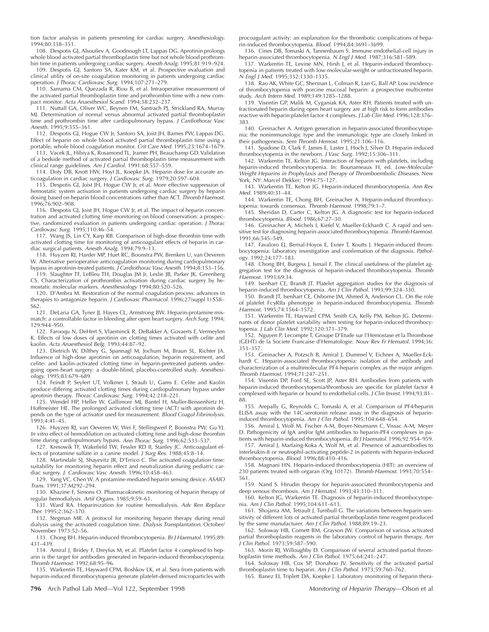tion factor analysis in patients presenting for cardiac surgery. Anesthesiology. 1994;80:338–351.

108. Despotis GJ, Alsoufiev A, Goodnough LT, Lappas DG. Aprotinin prolongs whole blood activated partial thromboplastin time but not whole blood prothrombin time in patients undergoing cardiac surgery. Anesth Analg. 1995;81:919–924.

109. Despotis GJ, Santoro SA, Kater KM, et al. Prospective evaluation and clinical utility of on-site coagulation monitoring in patients undergoing cardiac<br>operation. *J Thorac Cardiovasc Surg.* 1994;107:271–279.

110. Samama CM, Quezada R, Riou B, et al. Intraoperative measurement of the activated partial thromboplastin time and prothrombin time with a new compact monitor. Acta Anaesthesiol Scand. 1994;38:232–237.

111. Nuttall GA, Oliver WC, Beynen FM, Santrach PJ, Strickland RA, Murray MJ. Determination of normal versus abnormal activated partial thromboplastin time and prothrombin time after cardiopulmonary bypass. *J Cardiothorac Vasc* Anesth. 1995;9:355–361.

112. Despotis GJ, Hogue CW Jr, Santoro SA, Joist JH, Barnes PW, Lappas DG. Effect of heparin on whole blood activated partial thromboplastin time using a portable, whole blood coagulation monitor. Crit Care Med. 1995;23:1674–1679.

113. Vacek JL, Hibiya K, Rosamond TL, Jramer PH, Beauchamp GD.Validation of a bedside method of activated partial thromboplastin time measurement with clinical range guidelines. Am J Cardiol. 1991;68:557–559.

114. Doty DB, Knott HW, Hoyt JL, Koepke JA. Heparin dose for accurate anticoagulation in cardiac surgery. J Cardiovasc Surg. 1979;20:597–604.

115. Despotis GJ, Joist JH, Hogue CW Jr, et al. More effective suppression of hemostatic system activation in patients undergoing cardiac surgery by heparin dosing based on heparin blood concentrations rather than ACT. Thromb Haemost. 1996;76:902–908.

116. Despotis GJ, Joist JH, Hogue CW Jr, et al. The impact of heparin concentration and activated clotting time monitoring on blood conservation: a prospective, randomized evaluation in patients undergoing cardiac operation. J Thorac Cardiovasc Surg. 1995;110:46–54.

117. Wang JS, Lin CY, Karp RB. Comparison of high-dose thrombin time with activated clotting time for monitoring of anticoagulant effects of heparin in car-<br>diac surgical patients. *Anesth Analg.* 1994;79:9–13.

118. Huyzen RJ, Harder MP, Huet RC, Boonstra PW, Brenken U, van Oeveren W. Alternative perioperative anticoagulation monitoring during cardiopulmonary

bypass in aprotinin-treated patients. *J Cardiothorac Vasc Anesth.* 1994;8:153–156.<br>119. Slaughter TF, LeBleu TH, Douglas JM Jr, Leslie JB, Parker JK, Greenberg CS. Characterization of prothrombin activation during cardiac surgery by hemostatic molecular markers. Anesthesiology 1994;80:520–526.

120. D'Ambra M. Restoration of the normal coagulation process: advances in therapies to antagonize heparin. J Cardiovasc Pharmacol. 1996;27(suppl 1):S58-S62.

121. DeLaria GA, Tyner JJ, Hayes CL, Armstrong BW. Heparin-protamine mismatch: a controllable factor in bleeding after open heart surgery. Arch Surg. 1994; 129:944–950.

122. Farooqu N, DeHert S, Vlaeminck R, DeBakker A, Govaerts E, Vermeylen K. Effects of low doses of aprotinin on clotting times activated with celite and kaolin. Acta Anaesthesiol Belg. 1993;44:87–92.

123. Dietrich W, Dilthey G, Spannagl M, Jochum M, Braun SL, Richter JA. Influence of high-dose aprotinin on anticoagulation, heparin requirement, and celite- and kaolin-activated clotting time in heparin-pretreated patients undergoing open-heart surgery: a double-blind, placebo-controlled study. Anesthesiology. 1995;83:679–689.

124. Feindt P, Seyfert UT, Volkmer I, Straub U, Gams E. Celite and Kaolin produce differing activated clotting times during cardiopulmonary bypass under aprotinin therapy. Thorac Cardiovasc Surg. 1994;42:218–221.

125. Wendel HP, Heller W, Gallimore MJ, Bantel H, Muller-Beissenhirtz H, Hoffmeister HE. The prolonged activated clotting time (ACT) with aprotinin depends on the type of activator used for measurement. Blood Coagul Fibrinolysis. 1993;4:41–45.

126. Huyzen RJ, van Oeveren W, Wei F, Stellingwerf P, Boonstra PW, Gu YJ. In vitro effect of hemodilution on activated clotting time and high-dose thrombin time during cardiopulmonary bypass. Ann Thorac Surg. 1996;62:533-537.

127. Kresowik TF, Wakefield TW, Fessler RD II, Stanley JC. Anticoagulant ef-

fects of protamine sulfate in a canine model. J Surg Res. 1988;45:8–14. 128. Martindale SJ, Shayevitz JR, D'Errico C. The activated coagulation time:

suitability for monitoring heparin effect and neutralization during pediatric cardiac surgery. J. Cardiovasc Vasc Anesth. 1996;10:458–463.

129. Yang VC, Chen W. A protamine-mediated heparin sensing device. ASAIO Trans. 1991;37:M292–294.

130. Khazine F, Simons O. Pharmacokinetic monitoring of heparin therapy of regular hemodialysis. Artif Organs. 1985;9:59–61.

131. Ward RA. Heparinization for routine hemodialysis. Adv Ren Replace Ther. 1995;2:362–370.

132. Stegman MR. A protocol for monitoring heparin therapy during renal dialysis using the activated coagulation time. Dialysis Transplantation. October/ November 1973:52–56.

133. Chong BH. Heparin-induced thrombocytopenia. Br J Haematol. 1995;89: 431–439.

134. Amiral J, Bridey F, Dreyfus M, et al. Platelet factor 4 complexed to heparin is the target for antibodies generated in heparin-induced thrombocytopenia.<br>*Thromb Haemost.* 1992;68:95–96.

135. Warkentin TE, Hayward CPM, Boshkov LK, et al. Sera from patients with heparin-induced thrombocytopenia generate platelet-derived microparticles with

**796** Arch Pathol Lab Med—Vol 122, September 1998 Monitoring of Heparin Therapy—Olson et al

procoagulant activity: an explanation for the thrombotic complications of heparin-induced thrombocytopenia. Blood. 1994;84:3691–3699.

136. Cines DB, Tomaski A, Tannenbaum S. Immune endothelial-cell injury in heparin-associated thrombocytopenia. <sup>N</sup> Engl J Med. 1987;316:581–589.

137. Warkentin TE, Levine MN, Hirsh J, et al. Heparin-induced thrombocytopenia in patients treated with low-molecular-weight or unfractionated heparin. <sup>N</sup> Engl J Med. 1995;332:1330–1335.

138. Rao AK, White GC, Sherman L, Colman R, Lan G, Ball AP. Low incidence of thrombocytopenia with porcine mucosal heparin: a prospective multicenter study. Arch Intern Med. 1989;149:1285–1288.

139. Visentin GP, Malik M, Cyganiak KA, Aster RH. Patients treated with unfractionated heparin during open heart surgery are at high risk to form antibodies reactive with heparin:platelet factor 4 complexes. J Lab Clin Med. 1996;128:376– 383.

140. Greinacher A. Antigen generation in heparin-associated thrombocytopenia: the nonimmunologic type and the immunologic type are closely linked in their pathogenesis. Sem Thromb Hemost. 1995;21:106-116.

141. Spadone D, Clark F, James E, Laster J, Hoch J, Silver D. Heparin-induced thrombocytopenia in the newborn. J Vasc Surg. 1992;15:306–311.

142. Warkentin TE, Kelton JG. Interaction of heparin with platelets, including heparin-induced thrombocytopenia. In: Bounameaux H, ed. Low-Molecular-Weight Heparins in Prophylaxis and Therapy of Thromboembolic Diseases. New York, NY: Marcel Dekker; 1994:75–127.

143. Warkentin TE, Kelton JG. Heparin-induced thrombocytopenia. Ann Rev Med. 1989;40:31–44.

144. Warkentin TE, Chong BH, Greinacher A. Heparin-induced thrombocy-topenia: towards consensus. Thromb Haemost. 1998;79:1–7.

145. Sheridan D, Carter C, Kelton JG. A diagnostic test for heparin-induced thrombocytopenia. Blood. 1986;67:27–30.

146. Greinacher A, Michels I, Kiefel V, Mueller-Eckhardt C. A rapid and sensitive test for diagnosing heparin-associated thrombocytopenia. Thromb Haemost. 1991;66:545–549.

147. Favaloro EL, Bernal-Hoyos E, Exner T, Koutts J, Heparin-induced thrombocytopenia: laboratory investigation and confirmation of the diagnosis. Pathology. 1992;24:177–183.

148. Chong BH, Burgess J, Ismail F. The clinical usefulness of the platelet aggregation test for the diagnosis of heparin-induced thrombocytopenia. Thromb Haemost. 1993;69:34.

149. Isenhart CE, Brandt JT. Platelet aggregation studies for the diagnosis of heparin-induced thrombocytopenia. Am J Clin Pathol. 1993;99:324-330

150. Brandt JT, Isenhart CE, Osborne JM, Ahmed A, Anderson CL. On the role of platelet FcgRIIa phenotype in heparin-induced thrombocytopenia. Thromb Haemost. 1995;74:1564–1572.

151. Warkentin TE, Hayward CPM, Smith CA, Kelly PM, Kelton JG. Determinants of donor platelet variability when testing for heparin-induced thrombocytopenia. J Lab Clin Med. 1992;120:371–379.

152. Nguyen P, Lecompte T, Groupe D'Etude sur l'Hemostase et la Thrombose (GEHT) de la Societe Francaise d'Hematologie. Nouv Rev Fr Hematol. 1994;36: 353–357.

153. Greinacher A, Potzsch B, Amiral J, Dummel V, Eichner A, Mueller-Eckhardt C. Heparin-associated thrombocytopenia: isolation of the antibody and characterization of a multimolecular PF4-heparin complex as the major antigen. Thromb Haemost. 1994;71:247–251.

154. Visentin DP, Ford SE, Scott JP, Aster RH. Antibodies from patients with heparin-induced thrombocytopenia/thrombosis are specific for platelet factor 4 complexed with heparin or bound to endothelial cells. J Clin Invest. 1994;93:81-88.

155. Arepally G, Reynolds C, Tomaski A, et al. Comparison of PF4/heparin ELISA assay with the 14C-serotonin release assay in the diagnosis of heparininduced thrombocytopenia. Am J Clin Pathol. 1995;104:648–654.

156. Amiral J, Wolf M, Fischer A-M, Boyer-Neumann C, Vissac A-M, Meyer D. Pathogenicity of IgA and/or IgM antibodies to heparin-PF4 complexes in pa-

tients with heparin-induced thrombocytopenia. Br J Haematol. 1996;92:954–959. 157. Amiral J, Marfaing-Koka A, Wolf M, et al. Presence of autoantibodies to interleukin-8 or neutrophil-activating peptide-2 in patients with heparin-induced thrombocytopenia. Blood. 1996;88:410–416.

158. Magnani HN. Heparin-induced thrombocytopenia (HIT): an overview of 230 patients treated with orgaran (Org 10172). Thromb Haemost. 1993;70:554– 561.

159. Nand S. Hirudin therapy for heparin-associated thrombocytopenia and deep venous thrombosis. Am J Hematol. 1993;43:310-311.

160. Kelton JG, Warkentin TE. Diagnosis of heparin-induced thrombocytopenia. Am J Clin Pathol. 1995;104:611–613.

161. Shojania AM, Tetrault J, Turnbull G. The variations between heparin sensitivity of different lots of activated partial thromboplastin time reagent produced by the same manufacturer. Am J Clin Pathol. 1988;89:19–23.

162. Soloway HB, Cornett BM, Grayson JW. Comparison of various activated partial thromboplastin reagents in the laboratory control of heparin therapy. Am Clin Pathol. 1973;59:587-590.

163. Morin RJ, Willoughby D. Comparison of several activated partial thromboplastin time methods. Am J Clin Pathol. 1975;64:241–247.

164. Soloway HB, Cox SP, Donahoo JV. Sensitivity of the activated partial thromboplastin time to heparin. Am J Clin Pathol. 1973;59:760–762.

165. Banez EI, Triplett DA, Koepke J. Laboratory monitoring of heparin thera-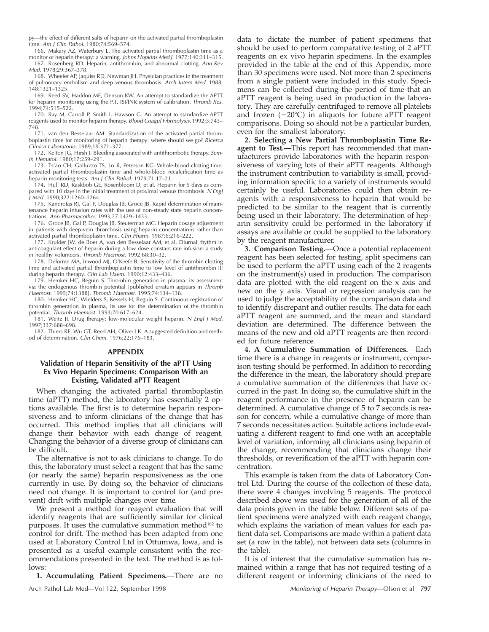py—the effect of different salts of heparin on the activated partial thromboplastin time. Am J Clin Pathol. 1980;74:569–574.

166. Makary AZ, Waterbury L. The activated partial thromboplastin time as a monitor of heparin therapy: a warning. Johns Hopkins Med J. 1977;140:311–315. 167. Rosenberg RD. Heparin, antithrombin, and abnormal clotting. Ann Rev Med. 1978;29:367–378.

168. Wheeler AP, Jaquiss RD, Newman JH. Physician practices in the treatment of pulmonary embolism and deep venous thrombosis. Arch Intern Med. 1988; 148:1321–1325.

169. Reed SV, Haddon ME, Denson KW. An attempt to standardize the APTT for heparin monitoring using the P.T. ISI/INR system of calibration. Thromb Res. 1994;74:515–522.

170. Ray M, Carroll P, Smith I, Hawson G. An attempt to standardize APTT reagents used to monitor heparin therapy. Blood Coagul Fibrinolysis. 1992;3:743– 748.

171. van den Besselaar AM. Standardization of the activated partial thromboplastin time for monitoring of heparin therapy: where should we go? Ricerca Clinica Laboratorio. 1989;19:371–377.

172. Kelton JG, Hirsh J. Bleeding associated with antithrombotic therapy. Semin Hematol. 1980;17:259–291.

173. Ts'ao CH, Galluzzo TS, Lo R, Peterson KG. Whole-blood clotting time, activated partial thromboplastin time and whole-blood recalcification time as heparin monitoring tests. Am J Clin Pathol. 1979;71:17–21.

174. Hull RD, Raskbob GE, Rosenbloom D, et al. Heparin for 5 days as compared with 10 days in the initial treatment of proximal venous thrombosis. N Engl J Med. 1990;322:1260–1264.

175. Kandrotas RJ, Gal P, Douglas JB, Groce JB. Rapid determination of maintenance heparin infusion rates with the use of non-steady state heparin concentrations. Ann Pharmacother. 1993;27:1429–1433.

176. Groce JB, Gal P, Douglas JB, Steuterman MC. Heparin dosage adjustment in patients with deep-vein thrombosis using heparin concentrations rather than activated partial thromboplastin time. Clin Pharm. 1987;6:216–222.

177. Krulder JW, de Boer A, van den Besselaar AM, et al. Diurnal rhythm in anticoagulant effect of heparin during a low dose constant rate infusion: a study in healthy volunteers. Thromb Haemost. 1992;68:30–32.

178. Delorme MA, Inwood MJ, O'Keefe B. Sensitivity of the thrombin clotting time and activated partial thromboplastin time to low level of antithrombin III during heparin therapy. Clin Lab Haem. 1990;12:433–436.

179. Hemker HC, Beguin S. Thrombin generation in plasma: its assessment via the endogenous thrombin potential [published erratum appears in *Thromb*<br>*Haemost.* 1995;74:1388]. *Thromb Haemost.* 1995;74:134–138.

180. Hemker HC, Wielders S, Kessels H, Beguin S. Continuous registration of thrombin generation in plasma, its use for the determination of the thrombin potential. Thromb Haemost. 1993;70:617–624.

181. Weitz Jl. Drug therapy: low-molecular weight heparin. N Engl J Med. 1997;337:688–698.

182. Thiers RE, Wu GT, Reed AH, Oliver LK. A suggested definition and method of determination. Clin Chem. 1976;22:176–183.

#### **APPENDIX**

# **Validation of Heparin Sensitivity of the aPTT Using Ex Vivo Heparin Specimens: Comparison With an Existing, Validated aPTT Reagent**

When changing the activated partial thromboplastin time (aPTT) method, the laboratory has essentially 2 options available. The first is to determine heparin responsiveness and to inform clinicians of the change that has occurred. This method implies that all clinicians will change their behavior with each change of reagent. Changing the behavior of a diverse group of clinicians can be difficult.

The alternative is not to ask clinicians to change. To do this, the laboratory must select a reagent that has the same (or nearly the same) heparin responsiveness as the one currently in use. By doing so, the behavior of clinicians need not change. It is important to control for (and prevent) drift with multiple changes over time.

We present a method for reagent evaluation that will identify reagents that are sufficiently similar for clinical purposes. It uses the cumulative summation method<sup>182</sup> to control for drift. The method has been adapted from one used at Laboratory Control Ltd in Ottumwa, Iowa, and is presented as a useful example consistent with the recommendations presented in the text. The method is as follows:

**1. Accumulating Patient Specimens.**—There are no

data to dictate the number of patient specimens that should be used to perform comparative testing of 2 aPTT reagents on ex vivo heparin specimens. In the examples provided in the table at the end of this Appendix, more than 30 specimens were used. Not more than 2 specimens from a single patient were included in this study. Specimens can be collected during the period of time that an aPTT reagent is being used in production in the laboratory. They are carefully centrifuged to remove all platelets and frozen  $(-20^{\circ}C)$  in aliquots for future aPTT reagent comparisons. Doing so should not be a particular burden, even for the smallest laboratory.

**2. Selecting a New Partial Thromboplastin Time Reagent to Test.**—This report has recommended that manufacturers provide laboratories with the heparin responsiveness of varying lots of their aPTT reagents. Although the instrument contribution to variability is small, providing information specific to a variety of instruments would certainly be useful. Laboratories could then obtain reagents with a responsiveness to heparin that would be predicted to be similar to the reagent that is currently being used in their laboratory. The determination of heparin sensitivity could be performed in the laboratory if assays are available or could be supplied to the laboratory by the reagent manufacturer.

**3. Comparison Testing.**—Once a potential replacement reagent has been selected for testing, split specimens can be used to perform the aPTT using each of the 2 reagents on the instrument(s) used in production. The comparison data are plotted with the old reagent on the x axis and new on the y axis. Visual or regression analysis can be used to judge the acceptability of the comparison data and to identify discrepant and outlier results. The data for each aPTT reagent are summed, and the mean and standard deviation are determined. The difference between the means of the new and old aPTT reagents are then recorded for future reference.

**4. A Cumulative Summation of Differences.**—Each time there is a change in reagents or instrument, comparison testing should be performed. In addition to recording the difference in the mean, the laboratory should prepare a cumulative summation of the differences that have occurred in the past. In doing so, the cumulative shift in the reagent performance in the presence of heparin can be determined. A cumulative change of 5 to 7 seconds is reason for concern, while a cumulative change of more than 7 seconds necessitates action. Suitable actions include evaluating a different reagent to find one with an acceptable level of variation, informing all clinicians using heparin of the change, recommending that clinicians change their thresholds, or reverification of the aPTT with heparin concentration.

This example is taken from the data of Laboratory Control Ltd. During the course of the collection of these data, there were 4 changes involving 5 reagents. The protocol described above was used for the generation of all of the data points given in the table below. Different sets of patient specimens were analyzed with each reagent change, which explains the variation of mean values for each patient data set. Comparisons are made within a patient data set (a row in the table), not between data sets (columns in the table).

It is of interest that the cumulative summation has remained within a range that has not required testing of a different reagent or informing clinicians of the need to